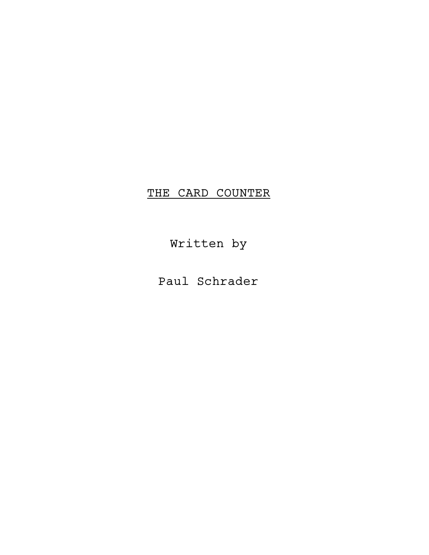# THE CARD COUNTER

Written by

Paul Schrader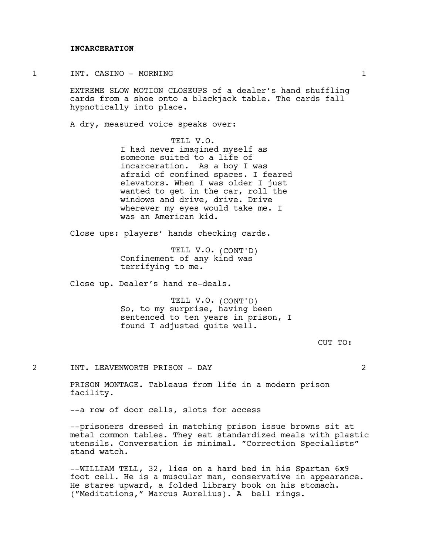## INCARCERATION

1 INT. CASINO – MORNING 1

EXTREME SLOW MOTION CLOSEUPS of a dealer's hand shuffling cards from a shoe onto a blackjack table. The cards fall hypnotically into place.

A dry, measured voice speaks over:

TELL V.O. I had never imagined myself as someone suited to a life of incarceration. As a boy I was afraid of confined spaces. I feared elevators. When I was older I just wanted to get in the car, roll the windows and drive, drive. Drive wherever my eyes would take me. I was an American kid.

Close ups: players' hands checking cards.

TELL V.O. (CONT'D) Confinement of any kind was terrifying to me.

Close up. Dealer's hand re-deals.

TELL V.O. (CONT'D) So, to my surprise, having been sentenced to ten years in prison, I found I adjusted quite well.

CUT TO:

2 INT. LEAVENWORTH PRISON - DAY 2

PRISON MONTAGE. Tableaus from life in a modern prison facility.

--a row of door cells, slots for access

--prisoners dressed in matching prison issue browns sit at metal common tables. They eat standardized meals with plastic utensils. Conversation is minimal. "Correction Specialists" stand watch.

--WILLIAM TELL, 32, lies on a hard bed in his Spartan 6x9 foot cell. He is a muscular man, conservative in appearance. He stares upward, a folded library book on his stomach. ("Meditations," Marcus Aurelius). A bell rings.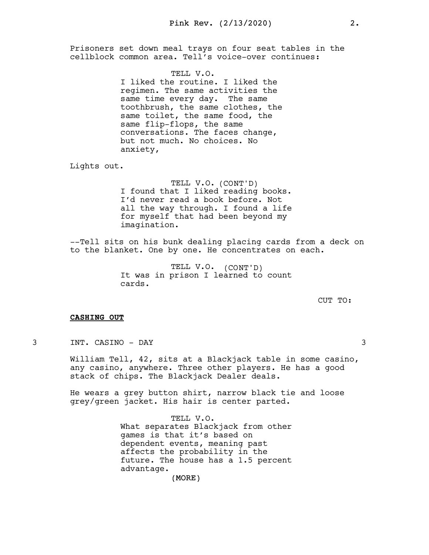Prisoners set down meal trays on four seat tables in the cellblock common area. Tell's voice-over continues:

> TELL V.O. I liked the routine. I liked the regimen. The same activities the same time every day. The same toothbrush, the same clothes, the same toilet, the same food, the same flip-flops, the same conversations. The faces change, but not much. No choices. No anxiety,

Lights out.

TELL V.O. (CONT'D) I found that I liked reading books. I'd never read a book before. Not all the way through. I found a life for myself that had been beyond my imagination.

--Tell sits on his bunk dealing placing cards from a deck on to the blanket. One by one. He concentrates on each.

> TELL V.O. (CONT'D) It was in prison I learned to count cards.

> > CUT TO:

#### CASHING OUT

3 INT. CASINO - DAY 3

William Tell, 42, sits at a Blackjack table in some casino, any casino, anywhere. Three other players. He has a good stack of chips. The Blackjack Dealer deals.

He wears a grey button shirt, narrow black tie and loose grey/green jacket. His hair is center parted.

> TELL V.O. What separates Blackjack from other games is that it's based on dependent events, meaning past affects the probability in the future. The house has a 1.5 percent advantage.

> > (MORE)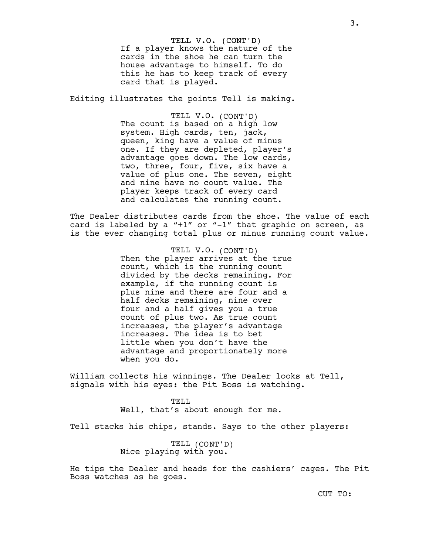TELL V.O. (CONT'D) If a player knows the nature of the cards in the shoe he can turn the house advantage to himself. To do this he has to keep track of every card that is played.

Editing illustrates the points Tell is making.

TELL V.O. (CONT'D) The count is based on a high low system. High cards, ten, jack, queen, king have a value of minus one. If they are depleted, player's advantage goes down. The low cards, two, three, four, five, six have a value of plus one. The seven, eight and nine have no count value. The player keeps track of every card and calculates the running count.

The Dealer distributes cards from the shoe. The value of each card is labeled by a "+1" or "-1" that graphic on screen, as is the ever changing total plus or minus running count value.

> TELL V.O. (CONT'D) Then the player arrives at the true count, which is the running count divided by the decks remaining. For example, if the running count is plus nine and there are four and a half decks remaining, nine over four and a half gives you a true count of plus two. As true count increases, the player's advantage increases. The idea is to bet little when you don't have the advantage and proportionately more when you do.

William collects his winnings. The Dealer looks at Tell, signals with his eyes: the Pit Boss is watching.

> TELL Well, that's about enough for me.

Tell stacks his chips, stands. Says to the other players:

TELL (CONT'D) Nice playing with you.

He tips the Dealer and heads for the cashiers' cages. The Pit Boss watches as he goes.

3.

CUT TO: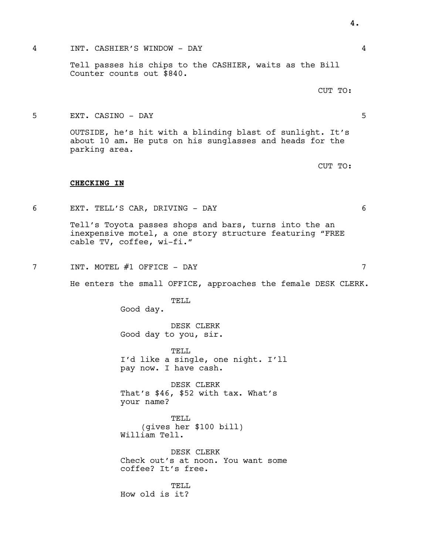## 4 INT. CASHIER'S WINDOW - DAY 4

Tell passes his chips to the CASHIER, waits as the Bill Counter counts out \$840.

CUT TO:

## 5 EXT. CASINO - DAY 5

OUTSIDE, he's hit with a blinding blast of sunlight. It's about 10 am. He puts on his sunglasses and heads for the parking area.

CUT TO:

### CHECKING IN

6 EXT. TELL'S CAR, DRIVING - DAY 6

Tell's Toyota passes shops and bars, turns into the an inexpensive motel, a one story structure featuring "FREE cable TV, coffee, wi-fi."

7 INT. MOTEL #1 OFFICE - DAY 7

He enters the small OFFICE, approaches the female DESK CLERK.

TELL

Good day.

DESK CLERK Good day to you, sir.

TELL I'd like a single, one night. I'll pay now. I have cash.

DESK CLERK That's \$46, \$52 with tax. What's your name?

TELL (gives her \$100 bill) William Tell.

DESK CLERK Check out's at noon. You want some coffee? It's free.

TELL How old is it?

4.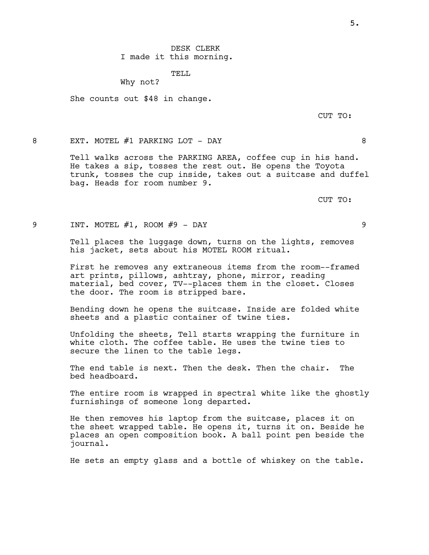## TELL

Why not?

She counts out \$48 in change.

CUT TO:

8 EXT. MOTEL #1 PARKING LOT - DAY 8

Tell walks across the PARKING AREA, coffee cup in his hand. He takes a sip, tosses the rest out. He opens the Toyota trunk, tosses the cup inside, takes out a suitcase and duffel bag. Heads for room number 9.

CUT TO:

9 INT. MOTEL #1, ROOM #9 - DAY 9

Tell places the luggage down, turns on the lights, removes his jacket, sets about his MOTEL ROOM ritual.

First he removes any extraneous items from the room--framed art prints, pillows, ashtray, phone, mirror, reading material, bed cover, TV--places them in the closet. Closes the door. The room is stripped bare.

Bending down he opens the suitcase. Inside are folded white sheets and a plastic container of twine ties.

Unfolding the sheets, Tell starts wrapping the furniture in white cloth. The coffee table. He uses the twine ties to secure the linen to the table legs.

The end table is next. Then the desk. Then the chair. The bed headboard.

The entire room is wrapped in spectral white like the ghostly furnishings of someone long departed.

He then removes his laptop from the suitcase, places it on the sheet wrapped table. He opens it, turns it on. Beside he places an open composition book. A ball point pen beside the journal.

He sets an empty glass and a bottle of whiskey on the table.

5.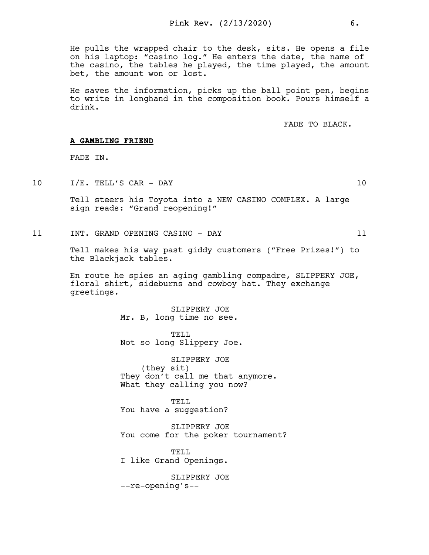He pulls the wrapped chair to the desk, sits. He opens a file on his laptop: "casino log." He enters the date, the name of the casino, the tables he played, the time played, the amount bet, the amount won or lost.

He saves the information, picks up the ball point pen, begins to write in longhand in the composition book. Pours himself a drink.

FADE TO BLACK.

## A GAMBLING FRIEND

FADE IN.

10 I/E. TELL'S CAR - DAY 10

Tell steers his Toyota into a NEW CASINO COMPLEX. A large sign reads: "Grand reopening!"

11 INT. GRAND OPENING CASINO - DAY 11

Tell makes his way past giddy customers ("Free Prizes!") to the Blackjack tables.

En route he spies an aging gambling compadre, SLIPPERY JOE, floral shirt, sideburns and cowboy hat. They exchange greetings.

> SLIPPERY JOE Mr. B, long time no see.

TELL Not so long Slippery Joe.

SLIPPERY JOE (they sit) They don't call me that anymore. What they calling you now?

TELL You have a suggestion?

SLIPPERY JOE You come for the poker tournament?

TELL I like Grand Openings.

SLIPPERY JOE --re-opening's--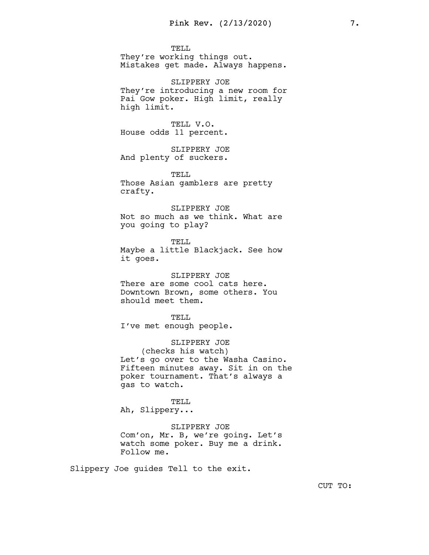TELL. They're working things out. Mistakes get made. Always happens.

SLIPPERY JOE They're introducing a new room for Pai Gow poker. High limit, really high limit.

TELL V.O. House odds 11 percent.

SLIPPERY JOE And plenty of suckers.

TELL Those Asian gamblers are pretty crafty.

SLIPPERY JOE Not so much as we think. What are you going to play?

TELL Maybe a little Blackjack. See how it goes.

SLIPPERY JOE There are some cool cats here. Downtown Brown, some others. You should meet them.

TELL. I've met enough people.

SLIPPERY JOE (checks his watch) Let's go over to the Washa Casino. Fifteen minutes away. Sit in on the poker tournament. That's always a gas to watch.

TELL Ah, Slippery...

SLIPPERY JOE

Com'on, Mr. B, we're going. Let's watch some poker. Buy me a drink. Follow me.

Slippery Joe guides Tell to the exit.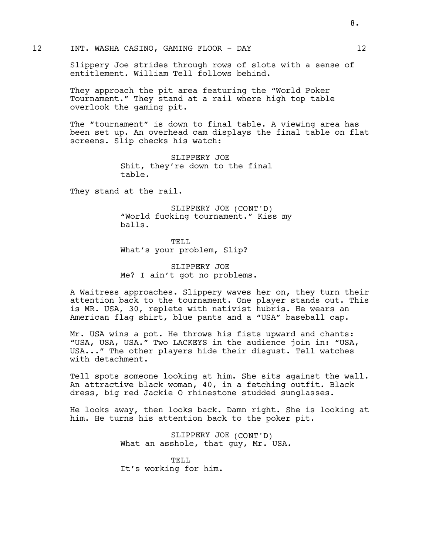Slippery Joe strides through rows of slots with a sense of entitlement. William Tell follows behind.

They approach the pit area featuring the "World Poker Tournament." They stand at a rail where high top table overlook the gaming pit.

The "tournament" is down to final table. A viewing area has been set up. An overhead cam displays the final table on flat screens. Slip checks his watch:

> SLIPPERY JOE Shit, they're down to the final table.

They stand at the rail.

SLIPPERY JOE (CONT'D) "World fucking tournament." Kiss my balls.

TELL What's your problem, Slip?

SLIPPERY JOE Me? I ain't got no problems.

A Waitress approaches. Slippery waves her on, they turn their attention back to the tournament. One player stands out. This is MR. USA, 30, replete with nativist hubris. He wears an American flag shirt, blue pants and a "USA" baseball cap.

Mr. USA wins a pot. He throws his fists upward and chants: "USA, USA, USA." Two LACKEYS in the audience join in: "USA, USA..." The other players hide their disgust. Tell watches with detachment.

Tell spots someone looking at him. She sits against the wall. An attractive black woman, 40, in a fetching outfit. Black dress, big red Jackie O rhinestone studded sunglasses.

He looks away, then looks back. Damn right. She is looking at him. He turns his attention back to the poker pit.

> SLIPPERY JOE (CONT'D) What an asshole, that guy, Mr. USA.

TELL It's working for him.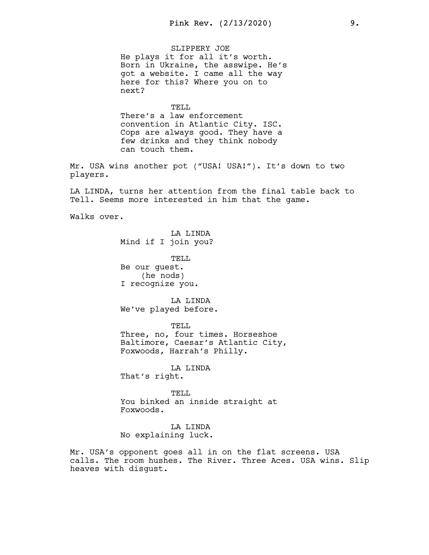SLIPPERY JOE He plays it for all it's worth. Born in Ukraine, the asswipe. He's got a website. I came all the way here for this? Where you on to next?

TELL

There's a law enforcement convention in Atlantic City. ISC. Cops are always good. They have a few drinks and they think nobody can touch them.

Mr. USA wins another pot ("USA! USA!"). It's down to two players.

LA LINDA, turns her attention from the final table back to Tell. Seems more interested in him that the game.

Walks over.

LA LINDA Mind if I join you?

TELL Be our guest. (he nods) I recognize you.

LA LINDA We've played before.

TELL. Three, no, four times. Horseshoe Baltimore, Caesar's Atlantic City, Foxwoods, Harrah's Philly.

LA LINDA That's right.

TELL You binked an inside straight at Foxwoods.

LA LINDA No explaining luck.

Mr. USA's opponent goes all in on the flat screens. USA calls. The room hushes. The River. Three Aces. USA wins. Slip heaves with disgust.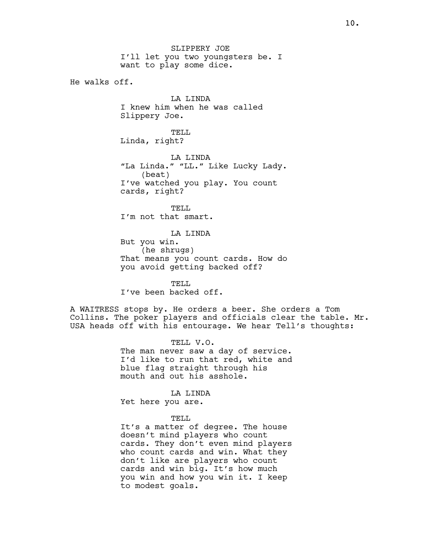SLIPPERY JOE I'll let you two youngsters be. I want to play some dice.

He walks off.

**LA LINDA** I knew him when he was called Slippery Joe.

TELL Linda, right?

LA LINDA "La Linda." "LL." Like Lucky Lady. (beat) I've watched you play. You count cards, right?

TELL. I'm not that smart.

LA LINDA But you win. (he shrugs) That means you count cards. How do you avoid getting backed off?

TELL. I've been backed off.

A WAITRESS stops by. He orders a beer. She orders a Tom Collins. The poker players and officials clear the table. Mr. USA heads off with his entourage. We hear Tell's thoughts:

> TELL V.O. The man never saw a day of service. I'd like to run that red, white and blue flag straight through his mouth and out his asshole.

LA LINDA Yet here you are.

TELL.

It's a matter of degree. The house doesn't mind players who count cards. They don't even mind players who count cards and win. What they don't like are players who count cards and win big. It's how much you win and how you win it. I keep to modest goals.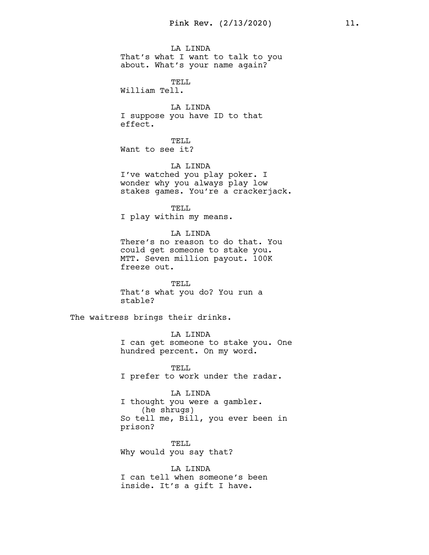LA LINDA That's what I want to talk to you about. What's your name again?

TELL William Tell.

LA LINDA I suppose you have ID to that effect.

TELL. Want to see it?

LA LINDA I've watched you play poker. I wonder why you always play low stakes games. You're a crackerjack.

TELL I play within my means.

LA LINDA There's no reason to do that. You could get someone to stake you. MTT. Seven million payout. 100K freeze out.

TELL. That's what you do? You run a stable?

The waitress brings their drinks.

LA LINDA I can get someone to stake you. One hundred percent. On my word.

TELL I prefer to work under the radar.

LA LINDA I thought you were a gambler. (he shrugs) So tell me, Bill, you ever been in prison?

TELL Why would you say that?

LA LINDA I can tell when someone's been inside. It's a gift I have.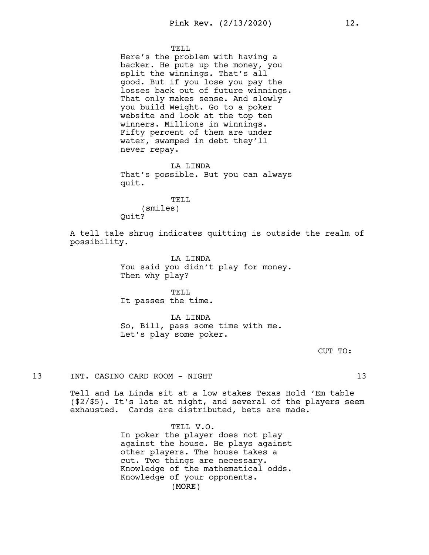#### TELL.

Here's the problem with having a backer. He puts up the money, you split the winnings. That's all good. But if you lose you pay the losses back out of future winnings. That only makes sense. And slowly you build Weight. Go to a poker website and look at the top ten winners. Millions in winnings. Fifty percent of them are under water, swamped in debt they'll never repay.

LA LINDA That's possible. But you can always quit.

## TELL

(smiles) Quit?

A tell tale shrug indicates quitting is outside the realm of possibility.

> LA LINDA You said you didn't play for money. Then why play?

TELL It passes the time.

LA LINDA So, Bill, pass some time with me. Let's play some poker.

CUT TO:

## 13 INT. CASINO CARD ROOM - NIGHT 13

Tell and La Linda sit at a low stakes Texas Hold 'Em table (\$2/\$5). It's late at night, and several of the players seem exhausted. Cards are distributed, bets are made.

> (MORE) TELL V.O. In poker the player does not play against the house. He plays against other players. The house takes a cut. Two things are necessary. Knowledge of the mathematical odds. Knowledge of your opponents.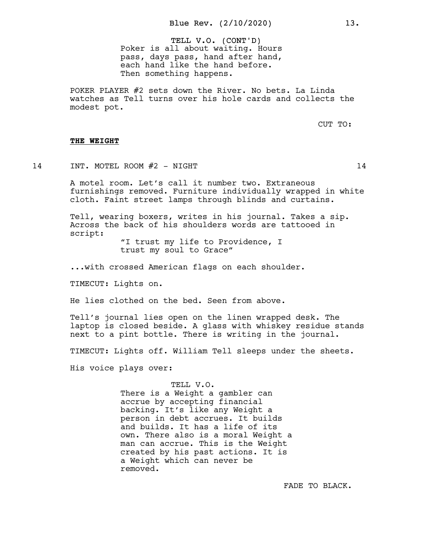TELL V.O. (CONT'D) Poker is all about waiting. Hours pass, days pass, hand after hand, each hand like the hand before. Then something happens.

POKER PLAYER #2 sets down the River. No bets. La Linda watches as Tell turns over his hole cards and collects the modest pot.

CUT TO:

## THE WEIGHT

14 INT. MOTEL ROOM #2 - NIGHT 14

A motel room. Let's call it number two. Extraneous furnishings removed. Furniture individually wrapped in white cloth. Faint street lamps through blinds and curtains.

Tell, wearing boxers, writes in his journal. Takes a sip. Across the back of his shoulders words are tattooed in script:

> "I trust my life to Providence, I trust my soul to Grace"

...with crossed American flags on each shoulder.

TIMECUT: Lights on.

He lies clothed on the bed. Seen from above.

Tell's journal lies open on the linen wrapped desk. The laptop is closed beside. A glass with whiskey residue stands next to a pint bottle. There is writing in the journal.

TIMECUT: Lights off. William Tell sleeps under the sheets.

His voice plays over:

TELL V.O. There is a Weight a gambler can accrue by accepting financial backing. It's like any Weight a person in debt accrues. It builds and builds. It has a life of its own. There also is a moral Weight a man can accrue. This is the Weight created by his past actions. It is a Weight which can never be removed.

FADE TO BLACK.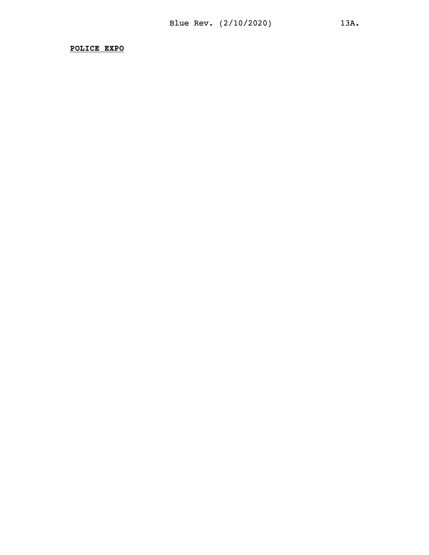POLICE EXPO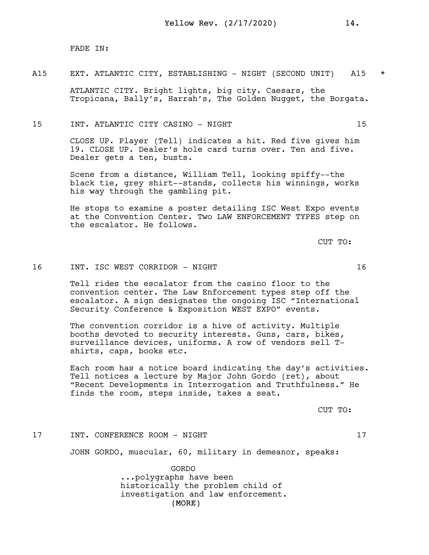FADE IN:

## A15 EXT. ATLANTIC CITY, ESTABLISHING - NIGHT (SECOND UNIT) A15 \*

ATLANTIC CITY. Bright lights, big city. Caesars, the Tropicana, Bally's, Harrah's, The Golden Nugget, the Borgata.

## 15 INT. ATLANTIC CITY CASINO - NIGHT 15

CLOSE UP. Player (Tell) indicates a hit. Red five gives him 19. CLOSE UP. Dealer's hole card turns over. Ten and five. Dealer gets a ten, busts.

Scene from a distance, William Tell, looking spiffy--the black tie, grey shirt--stands, collects his winnings, works his way through the gambling pit.

He stops to examine a poster detailing ISC West Expo events at the Convention Center. Two LAW ENFORCEMENT TYPES step on the escalator. He follows.

CUT TO:

## 16 INT. ISC WEST CORRIDOR - NIGHT 16

Tell rides the escalator from the casino floor to the convention center. The Law Enforcement types step off the escalator. A sign designates the ongoing ISC "International Security Conference & Exposition WEST EXPO" events.

The convention corridor is a hive of activity. Multiple booths devoted to security interests. Guns, cars, bikes, surveillance devices, uniforms. A row of vendors sell Tshirts, caps, books etc.

Each room has a notice board indicating the day's activities. Tell notices a lecture by Major John Gordo (ret), about "Recent Developments in Interrogation and Truthfulness." He finds the room, steps inside, takes a seat.

CUT TO:

## 17 INT. CONFERENCE ROOM - NIGHT 17

JOHN GORDO, muscular, 60, military in demeanor, speaks:

(MORE) GORDO ...polygraphs have been historically the problem child of investigation and law enforcement.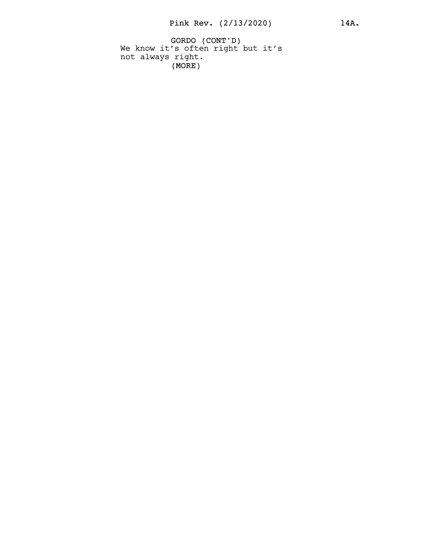GORDO (CONT'D) (MORE) We know it's often right but it's not always right.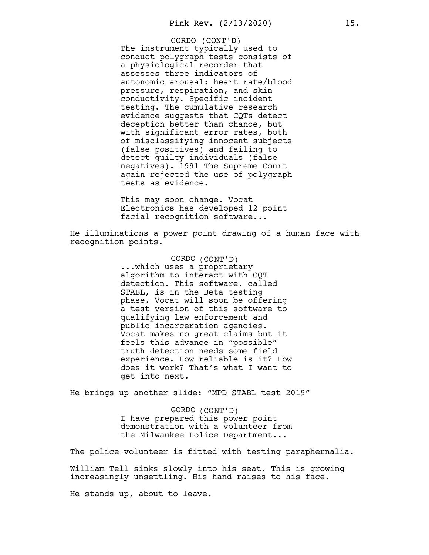GORDO (CONT'D) The instrument typically used to conduct polygraph tests consists of a physiological recorder that assesses three indicators of autonomic arousal: heart rate/blood pressure, respiration, and skin conductivity. Specific incident testing. The cumulative research evidence suggests that CQTs detect deception better than chance, but with significant error rates, both of misclassifying innocent subjects (false positives) and failing to detect guilty individuals (false negatives). 1991 The Supreme Court again rejected the use of polygraph tests as evidence.

This may soon change. Vocat Electronics has developed 12 point facial recognition software...

He illuminations a power point drawing of a human face with recognition points.

> GORDO (CONT'D) ...which uses a proprietary algorithm to interact with CQT detection. This software, called STABL, is in the Beta testing phase. Vocat will soon be offering a test version of this software to qualifying law enforcement and public incarceration agencies. Vocat makes no great claims but it feels this advance in "possible" truth detection needs some field experience. How reliable is it? How does it work? That's what I want to get into next.

He brings up another slide: "MPD STABL test 2019"

GORDO (CONT'D) I have prepared this power point demonstration with a volunteer from the Milwaukee Police Department...

The police volunteer is fitted with testing paraphernalia.

William Tell sinks slowly into his seat. This is growing increasingly unsettling. His hand raises to his face.

He stands up, about to leave.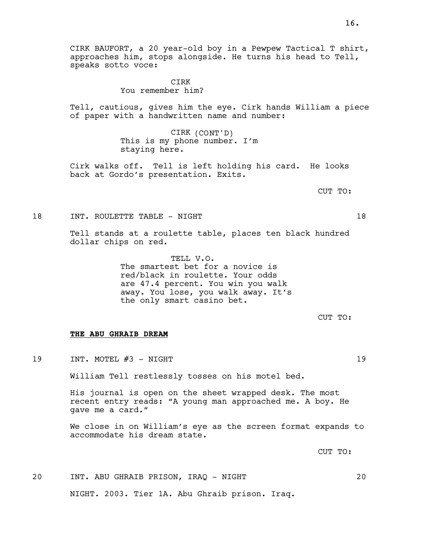CIRK BAUFORT, a 20 year-old boy in a Pewpew Tactical T shirt, approaches him, stops alongside. He turns his head to Tell, speaks sotto voce:

> CIRK You remember him?

Tell, cautious, gives him the eye. Cirk hands William a piece of paper with a handwritten name and number:

> CIRK (CONT'D) This is my phone number. I'm staying here.

Cirk walks off. Tell is left holding his card. He looks back at Gordo's presentation. Exits.

CUT TO:

18 INT. ROULETTE TABLE - NIGHT 18

Tell stands at a roulette table, places ten black hundred dollar chips on red.

> TELL V.O. The smartest bet for a novice is red/black in roulette. Your odds are 47.4 percent. You win you walk away. You lose, you walk away. It's the only smart casino bet.

> > CUT TO:

#### THE ABU GHRAIB DREAM

19 INT. MOTEL #3 - NIGHT 19

William Tell restlessly tosses on his motel bed.

His journal is open on the sheet wrapped desk. The most recent entry reads: "A young man approached me. A boy. He gave me a card."

We close in on William's eye as the screen format expands to accommodate his dream state.

CUT TO:

20 INT. ABU GHRAIB PRISON, IRAQ - NIGHT 20 NIGHT. 2003. Tier 1A. Abu Ghraib prison. Iraq.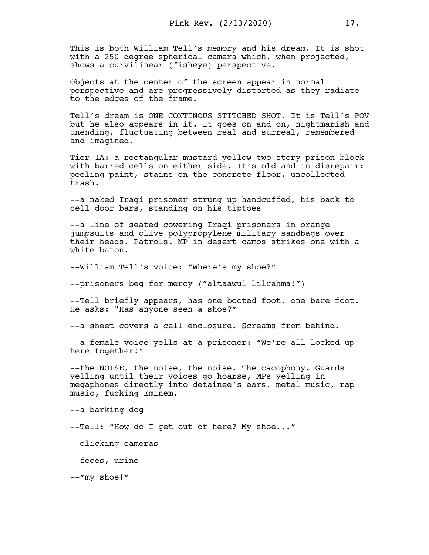This is both William Tell's memory and his dream. It is shot with a 250 degree spherical camera which, when projected, shows a curvilinear (fisheye) perspective.

Objects at the center of the screen appear in normal perspective and are progressively distorted as they radiate to the edges of the frame.

Tell's dream is ONE CONTINOUS STITCHED SHOT. It is Tell's POV but he also appears in it. It goes on and on, nightmarish and unending, fluctuating between real and surreal, remembered and imagined.

Tier 1A: a rectangular mustard yellow two story prison block with barred cells on either side. It's old and in disrepair: peeling paint, stains on the concrete floor, uncollected trash.

--a naked Iraqi prisoner strung up handcuffed, his back to cell door bars, standing on his tiptoes

--a line of seated cowering Iraqi prisoners in orange jumpsuits and olive polypropylene military sandbags over their heads. Patrols. MP in desert camos strikes one with a white baton.

--William Tell's voice: "Where's my shoe?"

--prisoners beg for mercy ("altaawul lilrahma!")

--Tell briefly appears, has one booted foot, one bare foot. He asks: "Has anyone seen a shoe?"

--a sheet covers a cell enclosure. Screams from behind.

--a female voice yells at a prisoner: "We're all locked up here together!"

--the NOISE, the noise, the noise. The cacophony. Guards yelling until their voices go hoarse, MPs yelling in megaphones directly into detainee's ears, metal music, rap music, fucking Eminem.

--a barking dog

--Tell: "How do I get out of here? My shoe..."

--clicking cameras

--feces, urine

--"my shoe!"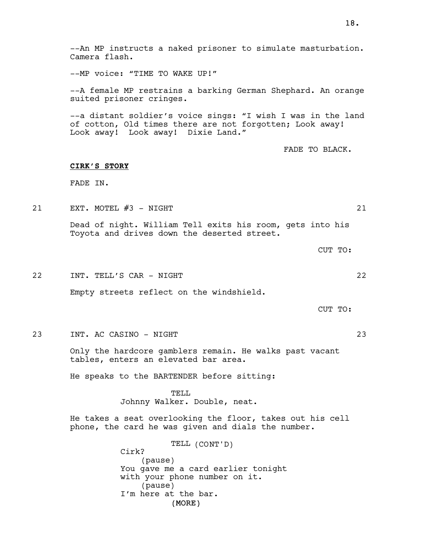--An MP instructs a naked prisoner to simulate masturbation. Camera flash.

--MP voice: "TIME TO WAKE UP!"

--A female MP restrains a barking German Shephard. An orange suited prisoner cringes.

--a distant soldier's voice sings: "I wish I was in the land of cotton, Old times there are not forgotten; Look away! Look away! Look away! Dixie Land."

FADE TO BLACK.

## CIRK'S STORY

FADE IN.

21 EXT. MOTEL #3 - NIGHT 21 22

Dead of night. William Tell exits his room, gets into his Toyota and drives down the deserted street.

CUT TO:

22 INT. TELL'S CAR - NIGHT 22

Empty streets reflect on the windshield.

CUT TO:

23 INT. AC CASINO - NIGHT 23

Only the hardcore gamblers remain. He walks past vacant tables, enters an elevated bar area.

He speaks to the BARTENDER before sitting:

TELL Johnny Walker. Double, neat.

He takes a seat overlooking the floor, takes out his cell phone, the card he was given and dials the number.

> (MORE) TELL (CONT'D) Cirk? (pause) You gave me a card earlier tonight with your phone number on it. (pause) I'm here at the bar.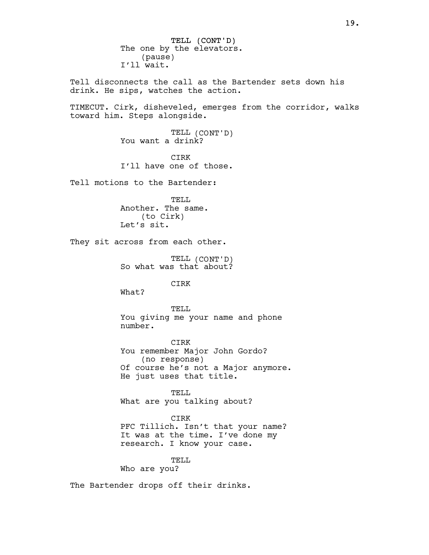TELL (CONT'D) The one by the elevators. (pause) I'll wait.

Tell disconnects the call as the Bartender sets down his drink. He sips, watches the action.

TIMECUT. Cirk, disheveled, emerges from the corridor, walks toward him. Steps alongside.

> TELL (CONT'D) You want a drink?

> CIRK I'll have one of those.

Tell motions to the Bartender:

TELL Another. The same. (to Cirk) Let's sit.

They sit across from each other.

TELL (CONT'D) So what was that about?

**CTRK** 

What?

TELL You giving me your name and phone number.

CIRK You remember Major John Gordo? (no response) Of course he's not a Major anymore. He just uses that title.

TELL What are you talking about?

CIRK PFC Tillich. Isn't that your name? It was at the time. I've done my research. I know your case.

TELL

Who are you?

The Bartender drops off their drinks.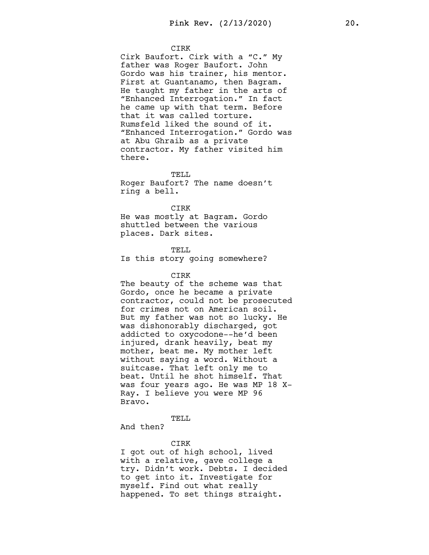#### CIRK

Cirk Baufort. Cirk with a "C." My father was Roger Baufort. John Gordo was his trainer, his mentor. First at Guantanamo, then Bagram. He taught my father in the arts of "Enhanced Interrogation." In fact he came up with that term. Before that it was called torture. Rumsfeld liked the sound of it. "Enhanced Interrogation." Gordo was at Abu Ghraib as a private contractor. My father visited him there.

#### TELL

Roger Baufort? The name doesn't ring a bell.

#### CIRK

He was mostly at Bagram. Gordo shuttled between the various places. Dark sites.

#### TELL

Is this story going somewhere?

#### CIRK

The beauty of the scheme was that Gordo, once he became a private contractor, could not be prosecuted for crimes not on American soil. But my father was not so lucky. He was dishonorably discharged, got addicted to oxycodone--he'd been injured, drank heavily, beat my mother, beat me. My mother left without saying a word. Without a suitcase. That left only me to beat. Until he shot himself. That was four years ago. He was MP 18 X-Ray. I believe you were MP 96 Bravo.

## TELL

And then?

## CIRK

I got out of high school, lived with a relative, gave college a try. Didn't work. Debts. I decided to get into it. Investigate for myself. Find out what really happened. To set things straight.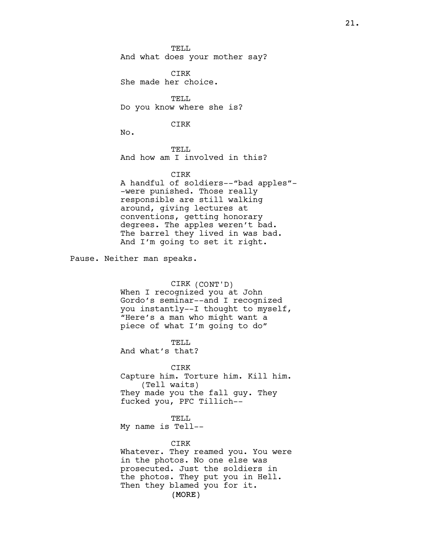TELL. And what does your mother say?

CIRK She made her choice.

TELL. Do you know where she is?

CIRK

No.

TELL And how am I involved in this?

## CIRK

A handful of soldiers--"bad apples"- -were punished. Those really responsible are still walking around, giving lectures at conventions, getting honorary degrees. The apples weren't bad. The barrel they lived in was bad. And I'm going to set it right.

Pause. Neither man speaks.

CIRK (CONT'D) When I recognized you at John Gordo's seminar--and I recognized you instantly--I thought to myself, "Here's a man who might want a piece of what I'm going to do"

TELL. And what's that?

CIRK Capture him. Torture him. Kill him. (Tell waits) They made you the fall guy. They fucked you, PFC Tillich--

## TELL

My name is Tell--

## CIRK

(MORE) Whatever. They reamed you. You were in the photos. No one else was prosecuted. Just the soldiers in the photos. They put you in Hell. Then they blamed you for it.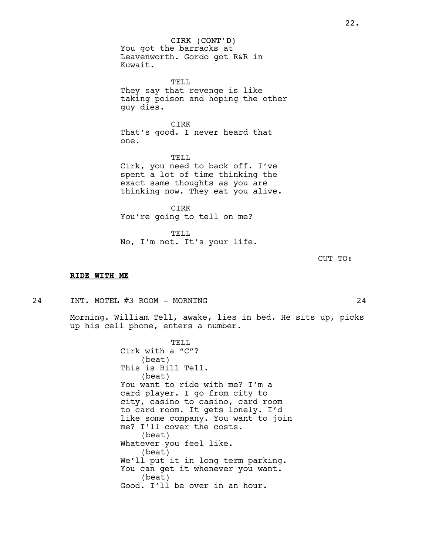CIRK (CONT'D) You got the barracks at Leavenworth. Gordo got R&R in Kuwait.

TELL They say that revenge is like taking poison and hoping the other guy dies.

CIRK That's good. I never heard that one.

TELL Cirk, you need to back off. I've spent a lot of time thinking the exact same thoughts as you are thinking now. They eat you alive.

CIRK You're going to tell on me?

TELL No, I'm not. It's your life.

CUT TO:

#### RIDE WITH ME

24 INT. MOTEL #3 ROOM - MORNING 24

Morning. William Tell, awake, lies in bed. He sits up, picks up his cell phone, enters a number.

> TELL Cirk with a "C"? (beat) This is Bill Tell. (beat) You want to ride with me? I'm a card player. I go from city to city, casino to casino, card room to card room. It gets lonely. I'd like some company. You want to join me? I'll cover the costs. (beat) Whatever you feel like. (beat) We'll put it in long term parking. You can get it whenever you want. (beat) Good. I'll be over in an hour.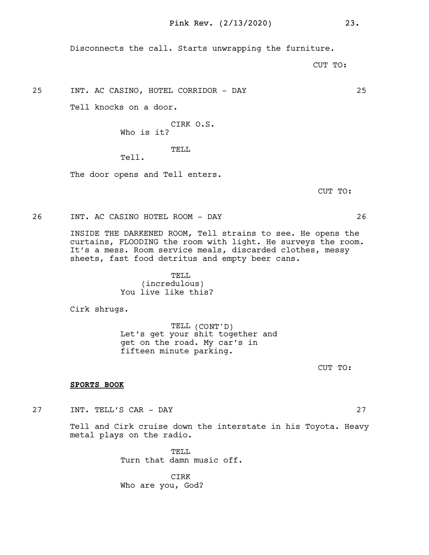Disconnects the call. Starts unwrapping the furniture.

CUT TO:

25 INT. AC CASINO, HOTEL CORRIDOR - DAY 25

Tell knocks on a door.

CIRK O.S. Who is it?

TELL

Tell.

The door opens and Tell enters.

CUT TO:

26 INT. AC CASINO HOTEL ROOM - DAY 26

INSIDE THE DARKENED ROOM, Tell strains to see. He opens the curtains, FLOODING the room with light. He surveys the room. It's a mess. Room service meals, discarded clothes, messy sheets, fast food detritus and empty beer cans.

> TELL (incredulous) You live like this?

Cirk shrugs.

TELL (CONT'D) Let's get your shit together and get on the road. My car's in fifteen minute parking.

CUT TO:

## SPORTS BOOK

27 INT. TELL'S CAR - DAY 27

Tell and Cirk cruise down the interstate in his Toyota. Heavy metal plays on the radio.

> TELL Turn that damn music off.

CIRK Who are you, God?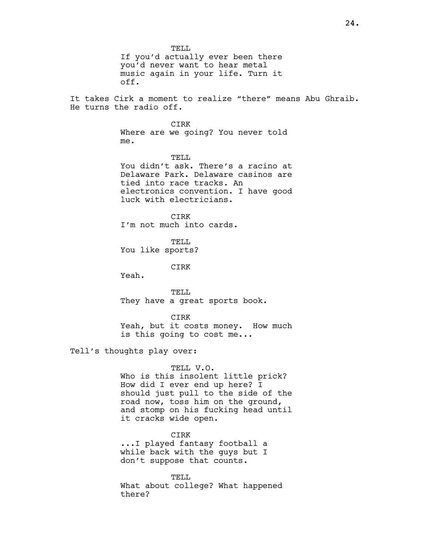TELL. If you'd actually ever been there you'd never want to hear metal music again in your life. Turn it off. It takes Cirk a moment to realize "there" means Abu Ghraib. He turns the radio off. CIRK Where are we going? You never told me. TELL. You didn't ask. There's a racino at Delaware Park. Delaware casinos are tied into race tracks. An electronics convention. I have good luck with electricians. CIRK I'm not much into cards. TELL You like sports? CIRK Yeah. TELL They have a great sports book. CIRK Yeah, but it costs money. How much is this going to cost me... Tell's thoughts play over: TELL V.O. Who is this insolent little prick? How did I ever end up here? I should just pull to the side of the road now, toss him on the ground, and stomp on his fucking head until it cracks wide open. CIRK ...I played fantasy football a while back with the guys but I

> don't suppose that counts. TELL What about college? What happened

there?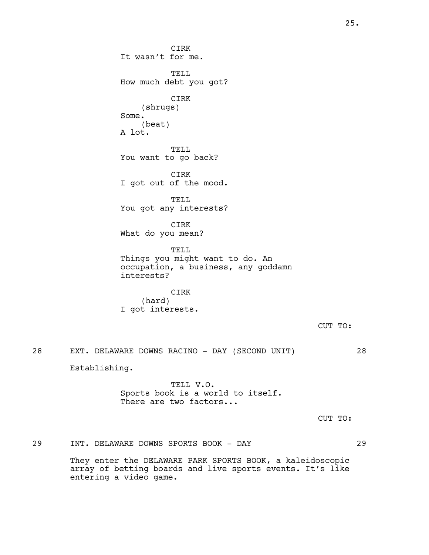CIRK It wasn't for me. TELL How much debt you got? CIRK (shrugs) Some. (beat) A lot. TELL You want to go back? CIRK I got out of the mood. TELL You got any interests? CIRK What do you mean? TELL Things you might want to do. An occupation, a business, any goddamn interests? CIRK (hard) I got interests. CUT TO: 28 EXT. DELAWARE DOWNS RACINO - DAY (SECOND UNIT) 28 Establishing. TELL V.O. Sports book is a world to itself. There are two factors... CUT TO:

29 INT. DELAWARE DOWNS SPORTS BOOK - DAY 29 They enter the DELAWARE PARK SPORTS BOOK, a kaleidoscopic array of betting boards and live sports events. It's like entering a video game.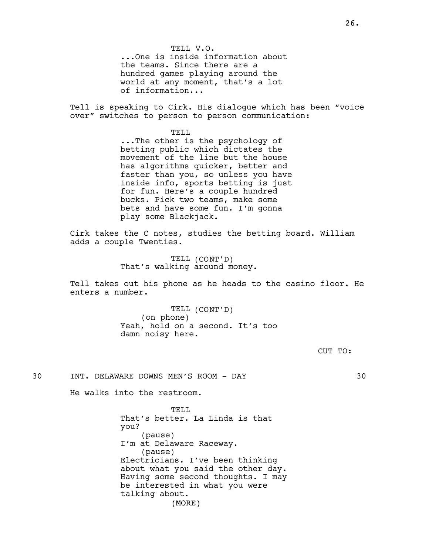TELL V.O. ...One is inside information about the teams. Since there are a hundred games playing around the world at any moment, that's a lot of information...

Tell is speaking to Cirk. His dialogue which has been "voice over" switches to person to person communication:

> TELL ...The other is the psychology of betting public which dictates the movement of the line but the house has algorithms quicker, better and faster than you, so unless you have inside info, sports betting is just for fun. Here's a couple hundred bucks. Pick two teams, make some bets and have some fun. I'm gonna play some Blackjack.

Cirk takes the C notes, studies the betting board. William adds a couple Twenties.

> TELL (CONT'D) That's walking around money.

Tell takes out his phone as he heads to the casino floor. He enters a number.

> TELL (CONT'D) (on phone) Yeah, hold on a second. It's too damn noisy here.

> > CUT TO:

30 INT. DELAWARE DOWNS MEN'S ROOM - DAY 30

He walks into the restroom.

(MORE) TELL. That's better. La Linda is that you? (pause) I'm at Delaware Raceway. (pause) Electricians. I've been thinking about what you said the other day. Having some second thoughts. I may be interested in what you were talking about.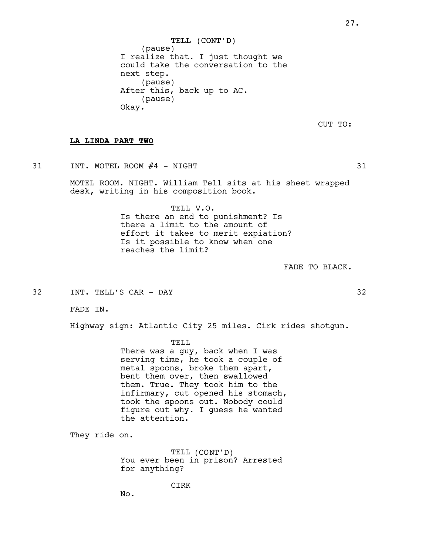TELL (CONT'D) (pause) I realize that. I just thought we could take the conversation to the next step. (pause) After this, back up to AC. (pause) Okay.

CUT TO:

## LA LINDA PART TWO

31 INT. MOTEL ROOM #4 - NIGHT 31

MOTEL ROOM. NIGHT. William Tell sits at his sheet wrapped desk, writing in his composition book.

> TELL V.O. Is there an end to punishment? Is there a limit to the amount of effort it takes to merit expiation? Is it possible to know when one reaches the limit?

> > FADE TO BLACK.

32 INT. TELL'S CAR - DAY 32

FADE IN.

Highway sign: Atlantic City 25 miles. Cirk rides shotgun.

TELL

There was a guy, back when I was serving time, he took a couple of metal spoons, broke them apart, bent them over, then swallowed them. True. They took him to the infirmary, cut opened his stomach, took the spoons out. Nobody could figure out why. I guess he wanted the attention.

They ride on.

TELL (CONT'D) You ever been in prison? Arrested for anything?

CIRK

No.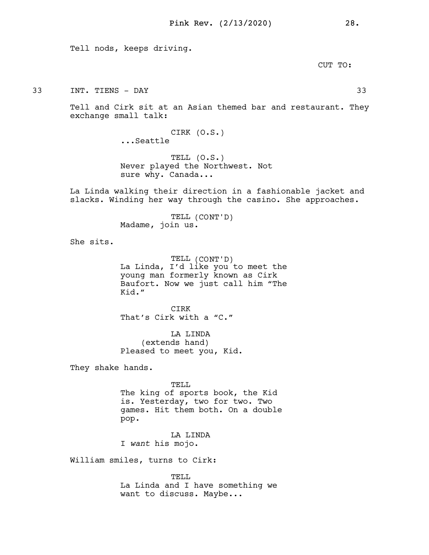Tell nods, keeps driving.

CUT TO:

33 INT. TIENS - DAY 33

Tell and Cirk sit at an Asian themed bar and restaurant. They exchange small talk:

> CIRK (O.S.) ...Seattle

TELL (O.S.) Never played the Northwest. Not sure why. Canada...

La Linda walking their direction in a fashionable jacket and slacks. Winding her way through the casino. She approaches.

> TELL (CONT'D) Madame, join us.

She sits.

TELL (CONT'D) La Linda, I'd like you to meet the young man formerly known as Cirk Baufort. Now we just call him "The Kid."

CIRK That's Cirk with a "C."

LA LINDA (extends hand) Pleased to meet you, Kid.

They shake hands.

TELL The king of sports book, the Kid is. Yesterday, two for two. Two games. Hit them both. On a double pop.

LA LINDA I want his mojo.

William smiles, turns to Cirk:

TELL La Linda and I have something we want to discuss. Maybe...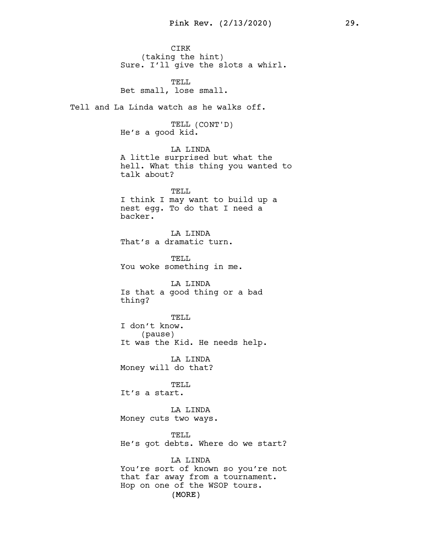Pink Rev. (2/13/2020) 29. CIRK (taking the hint) Sure. I'll give the slots a whirl. TELL Bet small, lose small. Tell and La Linda watch as he walks off. TELL (CONT'D) He's a good kid. LA LINDA A little surprised but what the hell. What this thing you wanted to talk about? TELL I think I may want to build up a nest egg. To do that I need a backer. LA LINDA That's a dramatic turn. TELL You woke something in me. LA LINDA Is that a good thing or a bad thing? TELL I don't know. (pause) It was the Kid. He needs help. LA LINDA Money will do that? TELL It's a start. LA LINDA Money cuts two ways. TELL He's got debts. Where do we start? LA LINDA You're sort of known so you're not that far away from a tournament.

(MORE)

Hop on one of the WSOP tours.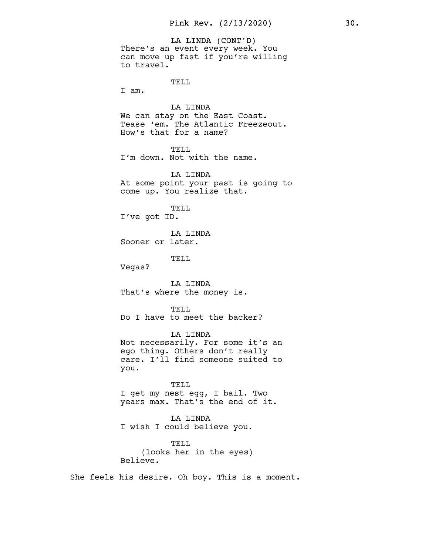LA LINDA (CONT'D) There's an event every week. You can move up fast if you're willing to travel. TELL

I am.

LA LINDA We can stay on the East Coast. Tease 'em. The Atlantic Freezeout. How's that for a name?

TELL I'm down. Not with the name.

LA LINDA At some point your past is going to come up. You realize that.

TELL I've got ID.

LA LINDA Sooner or later.

TELL

Vegas?

LA LINDA That's where the money is.

TELL Do I have to meet the backer?

LA LINDA Not necessarily. For some it's an ego thing. Others don't really care. I'll find someone suited to you.

TELL I get my nest egg, I bail. Two years max. That's the end of it.

LA LINDA I wish I could believe you.

TELL (looks her in the eyes) Believe.

She feels his desire. Oh boy. This is a moment.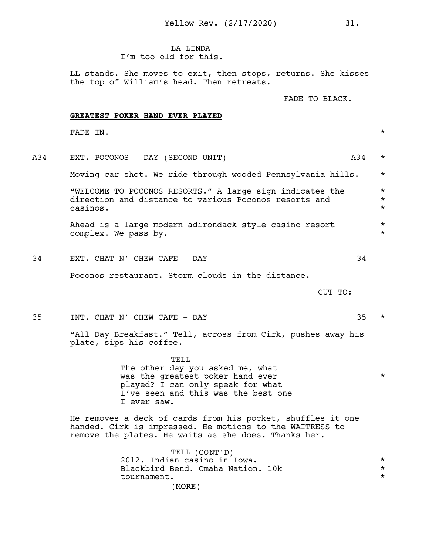**LA LINDA** I'm too old for this.

LL stands. She moves to exit, then stops, returns. She kisses the top of William's head. Then retreats.

FADE TO BLACK.

## GREATEST POKER HAND EVER PLAYED

FADE IN.  $\star$ 

A34 EXT. POCONOS - DAY (SECOND UNIT) A34 \* Moving car shot. We ride through wooded Pennsylvania hills. \* "WELCOME TO POCONOS RESORTS." A large sign indicates the \* direction and distance to various Poconos resorts and \* \* \* casinos. \* Ahead is a large modern adirondack style casino resort \* complex. We pass by. 34 EXT. CHAT N' CHEW CAFE - DAY 34

Poconos restaurant. Storm clouds in the distance.

CUT TO:

35 INT. CHAT N' CHEW CAFE - DAY 35 \* "All Day Breakfast." Tell, across from Cirk, pushes away his plate, sips his coffee. TELL

The other day you asked me, what was the greatest poker hand ever \* played? I can only speak for what I've seen and this was the best one I ever saw.

He removes a deck of cards from his pocket, shuffles it one handed. Cirk is impressed. He motions to the WAITRESS to remove the plates. He waits as she does. Thanks her.

> (MORE) TELL (CONT'D) 2012. Indian casino in Iowa.<br>Blackbird Bend. Omaha Nation. 10k Blackbird Bend. Omaha Nation. 10k \* tournament. \*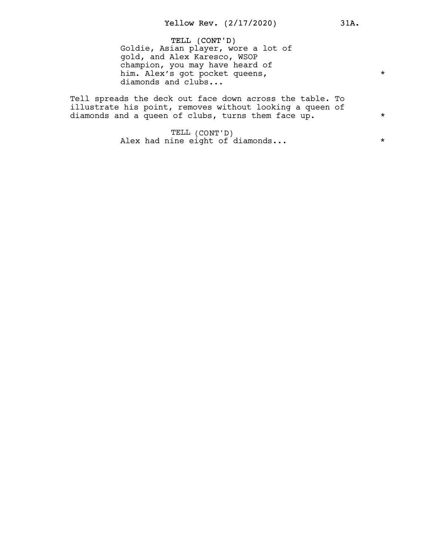TELL (CONT'D) Goldie, Asian player, wore a lot of gold, and Alex Karesco, WSOP champion, you may have heard of him. Alex's got pocket queens, diamonds and clubs...

Tell spreads the deck out face down across the table. To illustrate his point, removes without looking a queen of diamonds and a queen of clubs, turns them face up.  $*$ 

> TELL (CONT'D) Alex had nine eight of diamonds...  $*$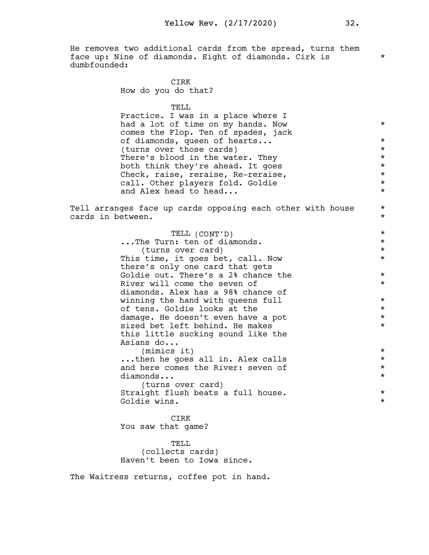He removes two additional cards from the spread, turns them face up: Nine of diamonds. Eight of diamonds. Cirk is \* dumbfounded:

> CIRK How do you do that?

> > TELL

Practice. I was in a place where I had a lot of time on my hands. Now  $*$ comes the Flop. Ten of spades, jack of diamonds, queen of hearts... \* (turns over those cards)  $*$ <br>There's blood in the water. They  $*$ There's blood in the water. They<br>both think they're ahead. It goes both think they're ahead. It goes  $\star$ <br>Check, raise, reraise, Re-reraise,  $\star$ Check, raise, reraise, Re-reraise, \* call. Other players fold. Goldie  $*$ <br>and Alex bead to bead and Alex head to head...

Tell arranges face up cards opposing each other with house  $*$ cards in between.

| TELL (CONT'D)                       | $\star$ |
|-------------------------------------|---------|
| The Turn: ten of diamonds.          | $\star$ |
| (turns over card)                   | $\star$ |
| This time, it goes bet, call. Now   | $\star$ |
| there's only one card that gets     |         |
| Goldie out. There's a 2% chance the | $\star$ |
| River will come the seven of        | $\star$ |
| diamonds. Alex has a 98% chance of  |         |
| winning the hand with queens full   | $\star$ |
| of tens. Goldie looks at the        | $\star$ |
| damage. He doesn't even have a pot  | $\star$ |
| sized bet left behind. He makes     | $\star$ |
| this little sucking sound like the  |         |
| Asians do                           |         |
| (mimics it)                         | $\star$ |
| then he goes all in. Alex calls     | $\star$ |
| and here comes the River: seven of  | $\star$ |
| diamonds                            | $\star$ |
| (turns over card)                   |         |
| Straight flush beats a full house.  | $\star$ |
| Goldie wins.                        | $\star$ |
|                                     |         |
| CIRK                                |         |
| You saw that game?                  |         |

TELL (collects cards) Haven't been to Iowa since.

The Waitress returns, coffee pot in hand.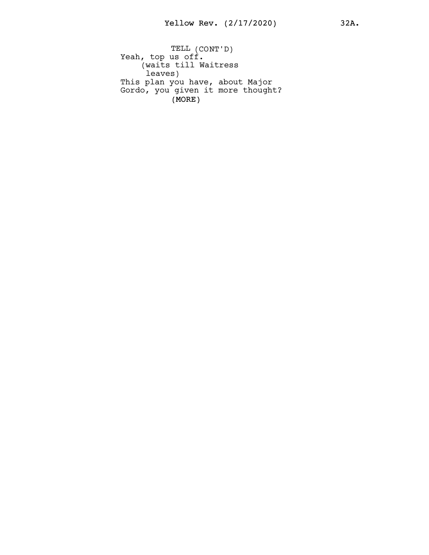(MORE) TELL (CONT'D) Yeah, top us off. (waits till Waitress leaves) This plan you have, about Major Gordo, you given it more thought?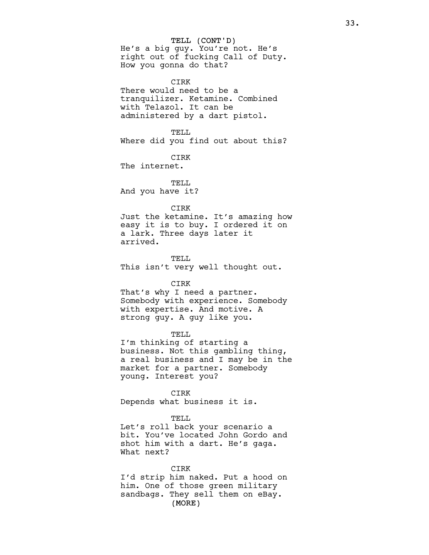TELL (CONT'D)

He's a big guy. You're not. He's right out of fucking Call of Duty. How you gonna do that?

## CIRK

There would need to be a tranquilizer. Ketamine. Combined with Telazol. It can be administered by a dart pistol.

TELL Where did you find out about this?

CIRK

The internet.

TELL. And you have it?

## CIRK

Just the ketamine. It's amazing how easy it is to buy. I ordered it on a lark. Three days later it arrived.

TELL This isn't very well thought out.

#### CIRK

That's why I need a partner. Somebody with experience. Somebody with expertise. And motive. A strong guy. A guy like you.

#### TELL

I'm thinking of starting a business. Not this gambling thing, a real business and I may be in the market for a partner. Somebody young. Interest you?

CIRK Depends what business it is.

# TELL.

Let's roll back your scenario a bit. You've located John Gordo and shot him with a dart. He's gaga. What next?

(MORE) CIRK I'd strip him naked. Put a hood on him. One of those green military sandbags. They sell them on eBay.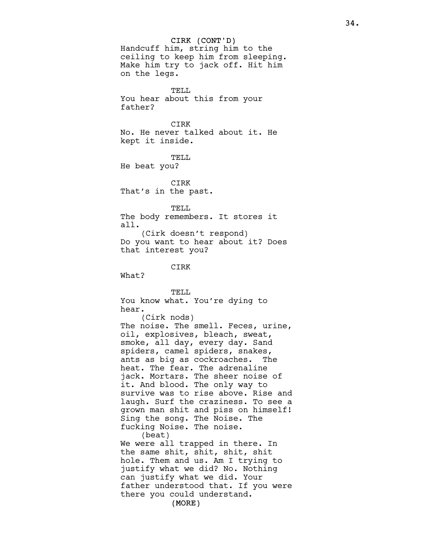CIRK (CONT'D) (MORE) Handcuff him, string him to the ceiling to keep him from sleeping. Make him try to jack off. Hit him on the legs. TELL. You hear about this from your father? CIRK No. He never talked about it. He kept it inside. TELL He beat you? CIRK That's in the past. TELL The body remembers. It stores it all. (Cirk doesn't respond) Do you want to hear about it? Does that interest you? CIRK What? TELL You know what. You're dying to hear. (Cirk nods) The noise. The smell. Feces, urine, oil, explosives, bleach, sweat, smoke, all day, every day. Sand spiders, camel spiders, snakes, ants as big as cockroaches. The heat. The fear. The adrenaline jack. Mortars. The sheer noise of it. And blood. The only way to survive was to rise above. Rise and laugh. Surf the craziness. To see a grown man shit and piss on himself! Sing the song. The Noise. The fucking Noise. The noise. (beat) We were all trapped in there. In the same shit, shit, shit, shit hole. Them and us. Am I trying to justify what we did? No. Nothing can justify what we did. Your father understood that. If you were there you could understand.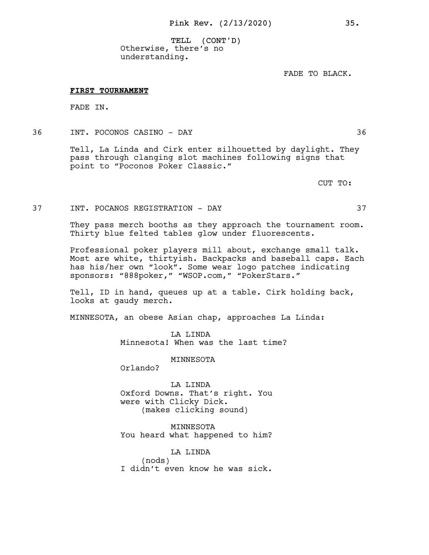TELL (CONT'D) Otherwise, there's no understanding.

FADE TO BLACK.

#### FIRST TOURNAMENT

FADE IN.

36 INT. POCONOS CASINO - DAY 36

Tell, La Linda and Cirk enter silhouetted by daylight. They pass through clanging slot machines following signs that point to "Poconos Poker Classic."

CUT TO:

# 37 INT. POCANOS REGISTRATION - DAY 37

They pass merch booths as they approach the tournament room. Thirty blue felted tables glow under fluorescents.

Professional poker players mill about, exchange small talk. Most are white, thirtyish. Backpacks and baseball caps. Each has his/her own "look". Some wear logo patches indicating sponsors: "888poker," "WSOP.com," "PokerStars."

Tell, ID in hand, queues up at a table. Cirk holding back, looks at gaudy merch.

MINNESOTA, an obese Asian chap, approaches La Linda:

LA LINDA Minnesota! When was the last time?

MINNESOTA

Orlando?

LA LINDA Oxford Downs. That's right. You were with Clicky Dick. (makes clicking sound)

MINNESOTA You heard what happened to him?

LA LINDA (nods) I didn't even know he was sick.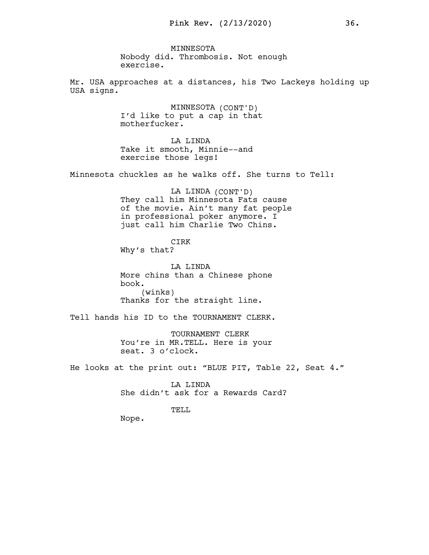MINNESOTA Nobody did. Thrombosis. Not enough exercise.

Mr. USA approaches at a distances, his Two Lackeys holding up USA signs.

> MINNESOTA (CONT'D) I'd like to put a cap in that motherfucker.

LA LINDA Take it smooth, Minnie--and exercise those legs!

Minnesota chuckles as he walks off. She turns to Tell:

LA LINDA (CONT'D) They call him Minnesota Fats cause of the movie. Ain't many fat people in professional poker anymore. I just call him Charlie Two Chins.

CIRK Why's that?

LA LINDA More chins than a Chinese phone book. (winks) Thanks for the straight line.

Tell hands his ID to the TOURNAMENT CLERK.

TOURNAMENT CLERK You're in MR.TELL. Here is your seat. 3 o'clock.

He looks at the print out: "BLUE PIT, Table 22, Seat 4."

LA LINDA She didn't ask for a Rewards Card?

TELL

Nope.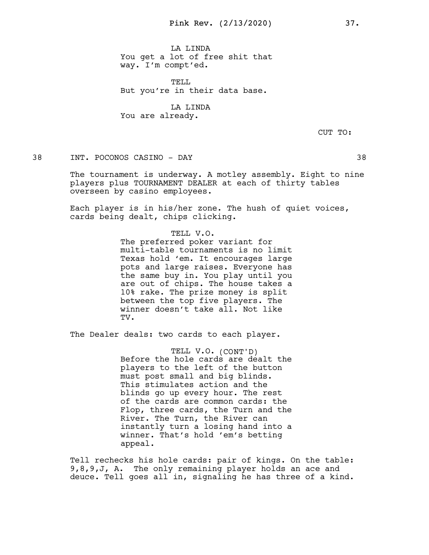LA LINDA You get a lot of free shit that way. I'm compt'ed.

TELL But you're in their data base.

LA LINDA You are already.

CUT TO:

38 INT. POCONOS CASINO - DAY 38

The tournament is underway. A motley assembly. Eight to nine players plus TOURNAMENT DEALER at each of thirty tables overseen by casino employees.

Each player is in his/her zone. The hush of quiet voices, cards being dealt, chips clicking.

> TELL V.O. The preferred poker variant for multi-table tournaments is no limit Texas hold 'em. It encourages large pots and large raises. Everyone has the same buy in. You play until you are out of chips. The house takes a 10% rake. The prize money is split between the top five players. The winner doesn't take all. Not like TV.

The Dealer deals: two cards to each player.

TELL V.O. (CONT'D) Before the hole cards are dealt the players to the left of the button must post small and big blinds. This stimulates action and the blinds go up every hour. The rest of the cards are common cards: the Flop, three cards, the Turn and the River. The Turn, the River can instantly turn a losing hand into a winner. That's hold 'em's betting appeal.

Tell rechecks his hole cards: pair of kings. On the table: 9,8,9,J, A. The only remaining player holds an ace and deuce. Tell goes all in, signaling he has three of a kind.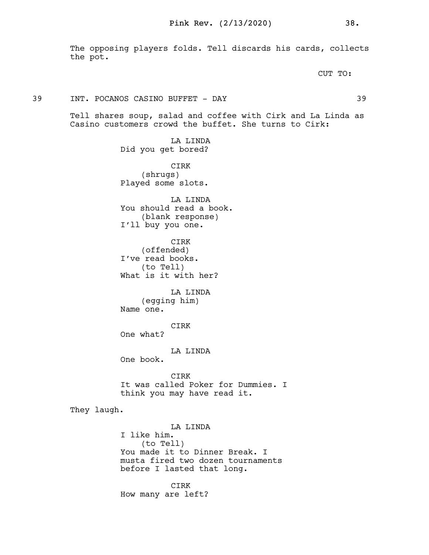The opposing players folds. Tell discards his cards, collects the pot.

CUT TO:

### 39 INT. POCANOS CASINO BUFFET - DAY 39

Tell shares soup, salad and coffee with Cirk and La Linda as Casino customers crowd the buffet. She turns to Cirk:

> LA LINDA Did you get bored?

> CIRK (shrugs) Played some slots.

LA LINDA You should read a book. (blank response) I'll buy you one.

CIRK (offended) I've read books. (to Tell) What is it with her?

LA LINDA (egging him) Name one.

CIRK

One what?

LA LINDA

One book.

CIRK It was called Poker for Dummies. I think you may have read it.

They laugh.

LA LINDA I like him. (to Tell) You made it to Dinner Break. I musta fired two dozen tournaments before I lasted that long.

CIRK How many are left?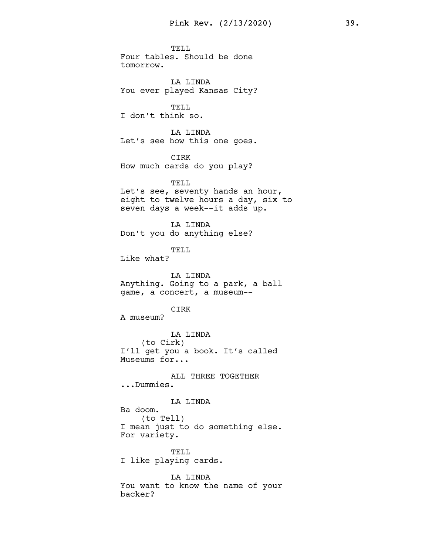TELL. Four tables. Should be done tomorrow.

LA LINDA You ever played Kansas City?

TELL I don't think so.

LA LINDA Let's see how this one goes.

CIRK How much cards do you play?

TELL. Let's see, seventy hands an hour, eight to twelve hours a day, six to seven days a week--it adds up.

LA LINDA Don't you do anything else?

TELL

Like what?

LA LINDA Anything. Going to a park, a ball game, a concert, a museum--

CIRK

A museum?

LA LINDA (to Cirk) I'll get you a book. It's called Museums for...

ALL THREE TOGETHER ...Dummies.

LA LINDA

Ba doom. (to Tell) I mean just to do something else. For variety.

TELL I like playing cards.

LA LINDA You want to know the name of your backer?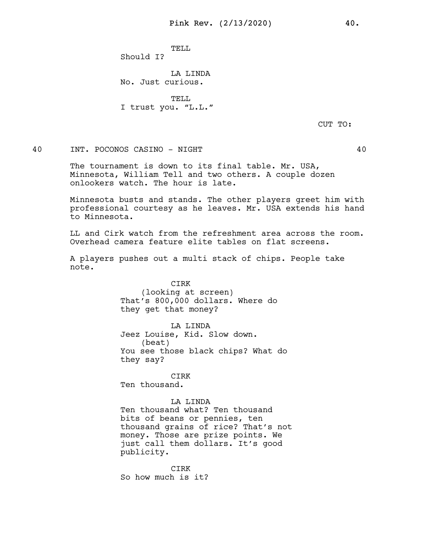TELL.

Should I?

LA LINDA No. Just curious.

TELL. I trust you. "L.L."

CUT TO:

# 40 INT. POCONOS CASINO - NIGHT 40

The tournament is down to its final table. Mr. USA, Minnesota, William Tell and two others. A couple dozen onlookers watch. The hour is late.

Minnesota busts and stands. The other players greet him with professional courtesy as he leaves. Mr. USA extends his hand to Minnesota.

LL and Cirk watch from the refreshment area across the room. Overhead camera feature elite tables on flat screens.

A players pushes out a multi stack of chips. People take note.

> CIRK (looking at screen) That's 800,000 dollars. Where do they get that money?

**LA LINDA** Jeez Louise, Kid. Slow down. (beat) You see those black chips? What do they say?

CIRK Ten thousand.

#### LA LINDA

Ten thousand what? Ten thousand bits of beans or pennies, ten thousand grains of rice? That's not money. Those are prize points. We just call them dollars. It's good publicity.

CIRK So how much is it?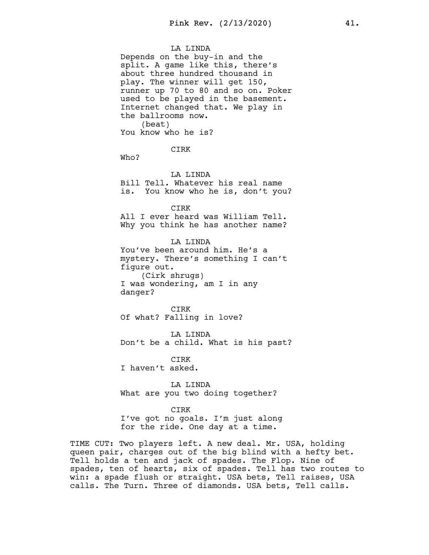#### LA LINDA

Depends on the buy-in and the split. A game like this, there's about three hundred thousand in play. The winner will get 150, runner up 70 to 80 and so on. Poker used to be played in the basement. Internet changed that. We play in the ballrooms now. (beat) You know who he is?

CIRK

Who?

LA LINDA Bill Tell. Whatever his real name is. You know who he is, don't you?

CIRK All I ever heard was William Tell. Why you think he has another name?

LA LINDA You've been around him. He's a mystery. There's something I can't figure out. (Cirk shrugs) I was wondering, am I in any danger?

CIRK Of what? Falling in love?

LA LINDA Don't be a child. What is his past?

CIRK I haven't asked.

LA LINDA What are you two doing together?

#### CIRK

I've got no goals. I'm just along for the ride. One day at a time.

TIME CUT: Two players left. A new deal. Mr. USA, holding queen pair, charges out of the big blind with a hefty bet. Tell holds a ten and jack of spades. The Flop. Nine of spades, ten of hearts, six of spades. Tell has two routes to win: a spade flush or straight. USA bets, Tell raises, USA calls. The Turn. Three of diamonds. USA bets, Tell calls.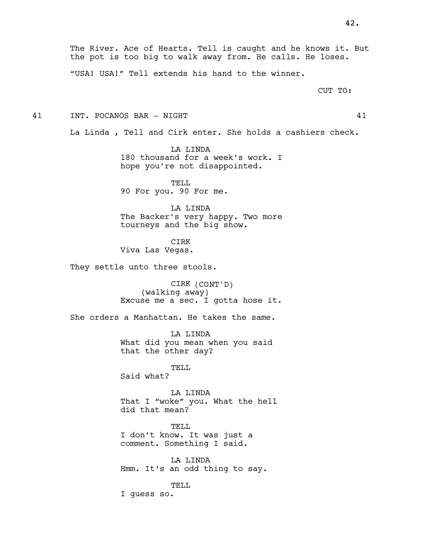The River. Ace of Hearts. Tell is caught and he knows it. But the pot is too big to walk away from. He calls. He loses.

"USA! USA!" Tell extends his hand to the winner.

CUT TO:

41 INT. POCANOS BAR - NIGHT 41

La Linda , Tell and Cirk enter. She holds a cashiers check.

LA LINDA 180 thousand for a week's work. I hope you're not disappointed.

TELL 90 For you. 90 For me.

LA LINDA The Backer's very happy. Two more tourneys and the big show.

CIRK Viva Las Vegas.

They settle unto three stools.

CIRK (CONT'D) (walking away) Excuse me a sec. I gotta hose it.

She orders a Manhattan. He takes the same.

LA LINDA What did you mean when you said that the other day?

TELL Said what?

LA LINDA That I "woke" you. What the hell did that mean?

TELL. I don't know. It was just a comment. Something I said.

LA LINDA Hmm. It's an odd thing to say.

TELL I guess so.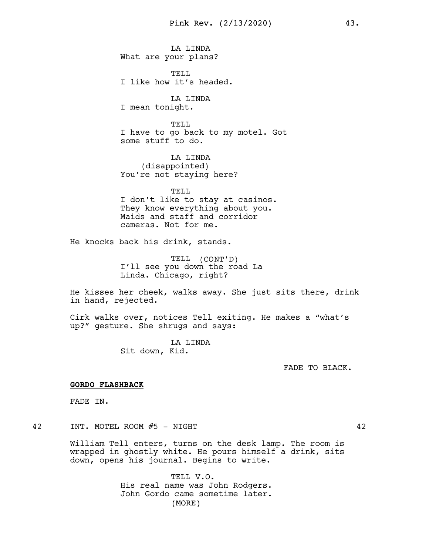LA LINDA What are your plans?

TELL I like how it's headed.

LA LINDA I mean tonight.

TELL I have to go back to my motel. Got some stuff to do.

LA LINDA (disappointed) You're not staying here?

TELL I don't like to stay at casinos. They know everything about you. Maids and staff and corridor cameras. Not for me.

He knocks back his drink, stands.

TELL (CONT'D) I'll see you down the road La Linda. Chicago, right?

He kisses her cheek, walks away. She just sits there, drink in hand, rejected.

Cirk walks over, notices Tell exiting. He makes a "what's up?" gesture. She shrugs and says:

> LA LINDA Sit down, Kid.

> > FADE TO BLACK.

### GORDO FLASHBACK

FADE IN.

42 INT. MOTEL ROOM #5 - NIGHT 42

William Tell enters, turns on the desk lamp. The room is wrapped in ghostly white. He pours himself a drink, sits down, opens his journal. Begins to write.

> (MORE) TELL V.O. His real name was John Rodgers. John Gordo came sometime later.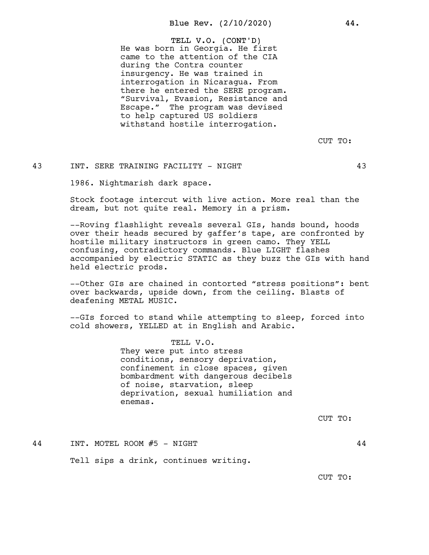TELL V.O. (CONT'D) He was born in Georgia. He first came to the attention of the CIA during the Contra counter insurgency. He was trained in interrogation in Nicaragua. From there he entered the SERE program. "Survival, Evasion, Resistance and Escape." The program was devised to help captured US soldiers withstand hostile interrogation.

CUT TO:

## 43 INT. SERE TRAINING FACILITY - NIGHT 43

1986. Nightmarish dark space.

Stock footage intercut with live action. More real than the dream, but not quite real. Memory in a prism.

--Roving flashlight reveals several GIs, hands bound, hoods over their heads secured by gaffer's tape, are confronted by hostile military instructors in green camo. They YELL confusing, contradictory commands. Blue LIGHT flashes accompanied by electric STATIC as they buzz the GIs with hand held electric prods.

--Other GIs are chained in contorted "stress positions": bent over backwards, upside down, from the ceiling. Blasts of deafening METAL MUSIC.

--GIs forced to stand while attempting to sleep, forced into cold showers, YELLED at in English and Arabic.

> TELL V.O. They were put into stress conditions, sensory deprivation, confinement in close spaces, given bombardment with dangerous decibels of noise, starvation, sleep deprivation, sexual humiliation and enemas.

> > CUT TO:

44 INT. MOTEL ROOM #5 - NIGHT 44 Tell sips a drink, continues writing.

CUT TO: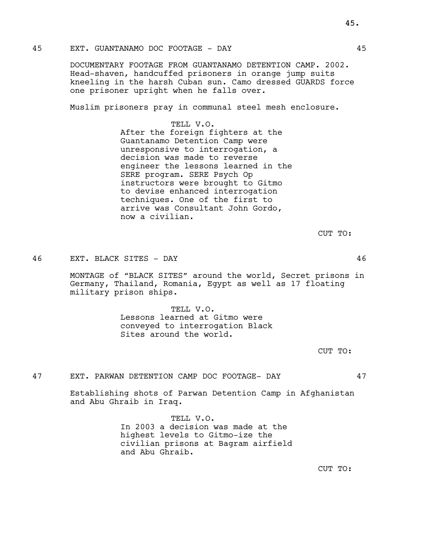DOCUMENTARY FOOTAGE FROM GUANTANAMO DETENTION CAMP. 2002. Head-shaven, handcuffed prisoners in orange jump suits kneeling in the harsh Cuban sun. Camo dressed GUARDS force one prisoner upright when he falls over.

Muslim prisoners pray in communal steel mesh enclosure.

TELL V.O. After the foreign fighters at the Guantanamo Detention Camp were unresponsive to interrogation, a decision was made to reverse engineer the lessons learned in the SERE program. SERE Psych Op instructors were brought to Gitmo to devise enhanced interrogation techniques. One of the first to arrive was Consultant John Gordo, now a civilian.

CUT TO:

46 EXT. BLACK SITES - DAY 46

MONTAGE of "BLACK SITES" around the world, Secret prisons in Germany, Thailand, Romania, Egypt as well as 17 floating military prison ships.

> TELL V.O. Lessons learned at Gitmo were conveyed to interrogation Black Sites around the world.

> > CUT TO:

47 EXT. PARWAN DETENTION CAMP DOC FOOTAGE- DAY 47

Establishing shots of Parwan Detention Camp in Afghanistan and Abu Ghraib in Iraq.

> TELL V.O. In 2003 a decision was made at the highest levels to Gitmo-ize the civilian prisons at Bagram airfield and Abu Ghraib.

> > CUT TO: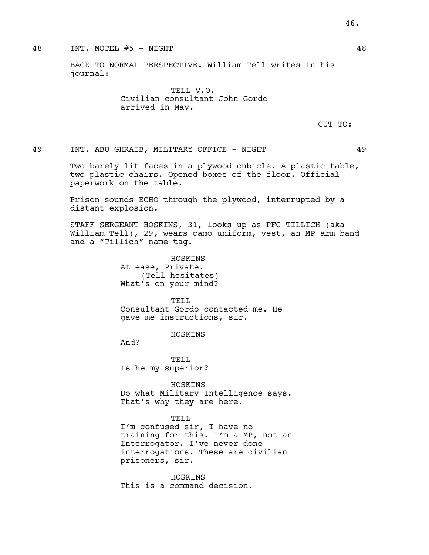### 48 INT. MOTEL #5 - NIGHT 48

BACK TO NORMAL PERSPECTIVE. William Tell writes in his journal:

> TELL V.O. Civilian consultant John Gordo arrived in May.

> > CUT TO:

49 INT. ABU GHRAIB, MILITARY OFFICE - NIGHT 49

Two barely lit faces in a plywood cubicle. A plastic table, two plastic chairs. Opened boxes of the floor. Official paperwork on the table.

Prison sounds ECHO through the plywood, interrupted by a distant explosion.

STAFF SERGEANT HOSKINS, 31, looks up as PFC TILLICH (aka William Tell), 29, wears camo uniform, vest, an MP arm band and a "Tillich" name tag.

> HOSKINS At ease, Private. (Tell hesitates) What's on your mind?

TELL Consultant Gordo contacted me. He gave me instructions, sir.

HOSKINS

And?

TELL Is he my superior?

HOSKINS Do what Military Intelligence says. That's why they are here.

#### TELL.

I'm confused sir, I have no training for this. I'm a MP, not an Interrogator. I've never done interrogations. These are civilian prisoners, sir.

HOSKINS This is a command decision. 46.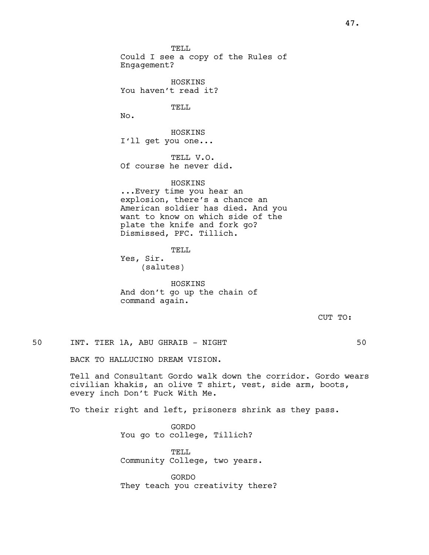TELL. Could I see a copy of the Rules of Engagement?

HOSKINS You haven't read it?

TELL

No.

HOSKINS I'll get you one...

TELL V.O. Of course he never did.

# HOSKINS

...Every time you hear an explosion, there's a chance an American soldier has died. And you want to know on which side of the plate the knife and fork go? Dismissed, PFC. Tillich.

## TELL

Yes, Sir. (salutes)

HOSKINS And don't go up the chain of command again.

CUT TO:

50 INT. TIER 1A, ABU GHRAIB - NIGHT 50

BACK TO HALLUCINO DREAM VISION.

Tell and Consultant Gordo walk down the corridor. Gordo wears civilian khakis, an olive T shirt, vest, side arm, boots, every inch Don't Fuck With Me.

To their right and left, prisoners shrink as they pass.

GORDO You go to college, Tillich?

TELL Community College, two years.

GORDO They teach you creativity there?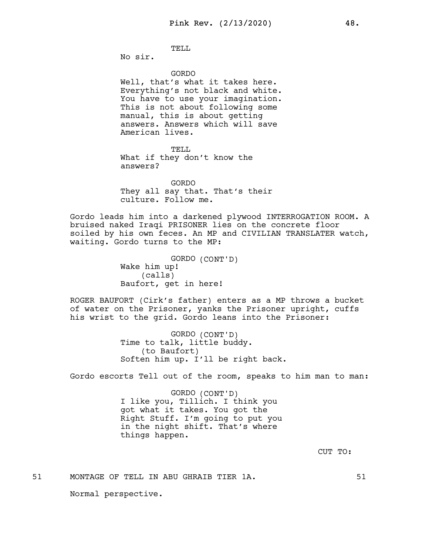TELL.

No sir.

GORDO

Well, that's what it takes here. Everything's not black and white. You have to use your imagination. This is not about following some manual, this is about getting answers. Answers which will save American lives.

TELL

What if they don't know the answers?

GORDO They all say that. That's their culture. Follow me.

Gordo leads him into a darkened plywood INTERROGATION ROOM. A bruised naked Iraqi PRISONER lies on the concrete floor soiled by his own feces. An MP and CIVILIAN TRANSLATER watch, waiting. Gordo turns to the MP:

> GORDO (CONT'D) Wake him up! (calls) Baufort, get in here!

ROGER BAUFORT (Cirk's father) enters as a MP throws a bucket of water on the Prisoner, yanks the Prisoner upright, cuffs his wrist to the grid. Gordo leans into the Prisoner:

> GORDO (CONT'D) Time to talk, little buddy. (to Baufort) Soften him up. I'll be right back.

Gordo escorts Tell out of the room, speaks to him man to man:

GORDO (CONT'D) I like you, Tillich. I think you got what it takes. You got the Right Stuff. I'm going to put you in the night shift. That's where things happen.

CUT TO:

51 MONTAGE OF TELL IN ABU GHRAIB TIER 1A. 51

Normal perspective.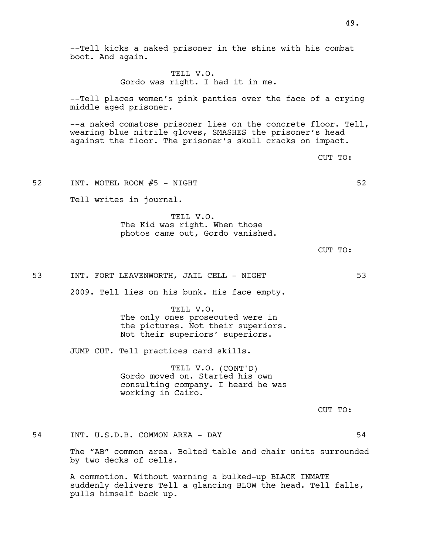--Tell kicks a naked prisoner in the shins with his combat boot. And again. TELL V.O. Gordo was right. I had it in me. --Tell places women's pink panties over the face of a crying middle aged prisoner. --a naked comatose prisoner lies on the concrete floor. Tell, wearing blue nitrile gloves, SMASHES the prisoner's head against the floor. The prisoner's skull cracks on impact. CUT TO: 52 INT. MOTEL ROOM #5 - NIGHT SOLLAND SOLLAND SOLLAND SOLLAND SOLLAND SOLLAND SOLLAND SOLLAND SOLLAND SOLLAND Tell writes in journal. TELL V.O. The Kid was right. When those photos came out, Gordo vanished. CUT TO: 53 INT. FORT LEAVENWORTH, JAIL CELL - NIGHT 53 2009. Tell lies on his bunk. His face empty. TELL V.O. The only ones prosecuted were in the pictures. Not their superiors. Not their superiors' superiors. JUMP CUT. Tell practices card skills. TELL V.O. (CONT'D) Gordo moved on. Started his own consulting company. I heard he was working in Cairo. CUT TO: 54 INT. U.S.D.B. COMMON AREA - DAY 54 The "AB" common area. Bolted table and chair units surrounded by two decks of cells. A commotion. Without warning a bulked-up BLACK INMATE suddenly delivers Tell a glancing BLOW the head. Tell falls, pulls himself back up.

49.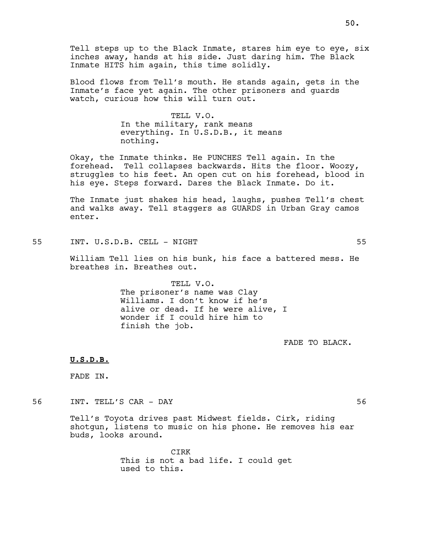Tell steps up to the Black Inmate, stares him eye to eye, six inches away, hands at his side. Just daring him. The Black Inmate HITS him again, this time solidly.

Blood flows from Tell's mouth. He stands again, gets in the Inmate's face yet again. The other prisoners and guards watch, curious how this will turn out.

> TELL V.O. In the military, rank means everything. In U.S.D.B., it means nothing.

Okay, the Inmate thinks. He PUNCHES Tell again. In the forehead. Tell collapses backwards. Hits the floor. Woozy, struggles to his feet. An open cut on his forehead, blood in his eye. Steps forward. Dares the Black Inmate. Do it.

The Inmate just shakes his head, laughs, pushes Tell's chest and walks away. Tell staggers as GUARDS in Urban Gray camos enter.

55 INT. U.S.D.B. CELL - NIGHT 55

William Tell lies on his bunk, his face a battered mess. He breathes in. Breathes out.

> TELL V.O. The prisoner's name was Clay Williams. I don't know if he's alive or dead. If he were alive, I wonder if I could hire him to finish the job.

> > FADE TO BLACK.

U.S.D.B.

FADE IN.

56 INT. TELL'S CAR - DAY 56

Tell's Toyota drives past Midwest fields. Cirk, riding shotgun, listens to music on his phone. He removes his ear buds, looks around.

> CIRK This is not a bad life. I could get used to this.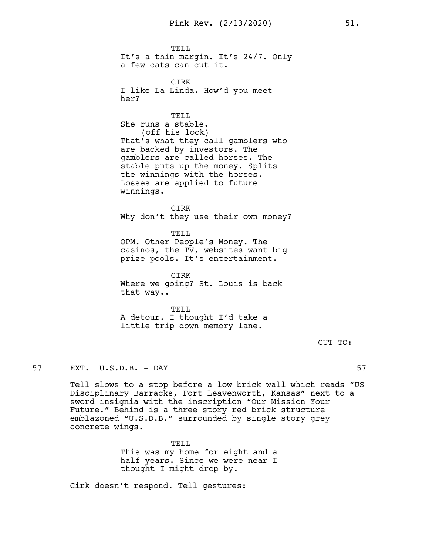TELL. It's a thin margin. It's 24/7. Only a few cats can cut it.

CIRK I like La Linda. How'd you meet her?

TELL She runs a stable. (off his look) That's what they call gamblers who are backed by investors. The gamblers are called horses. The stable puts up the money. Splits the winnings with the horses. Losses are applied to future winnings.

CIRK Why don't they use their own money?

TELL OPM. Other People's Money. The casinos, the TV, websites want big prize pools. It's entertainment.

CIRK Where we going? St. Louis is back that way..

TELL A detour. I thought I'd take a little trip down memory lane.

CUT TO:

# 57 EXT. U.S.D.B. - DAY 57

Tell slows to a stop before a low brick wall which reads "US Disciplinary Barracks, Fort Leavenworth, Kansas" next to a sword insignia with the inscription "Our Mission Your Future." Behind is a three story red brick structure emblazoned "U.S.D.B." surrounded by single story grey concrete wings.

> TELL This was my home for eight and a half years. Since we were near I thought I might drop by.

Cirk doesn't respond. Tell gestures: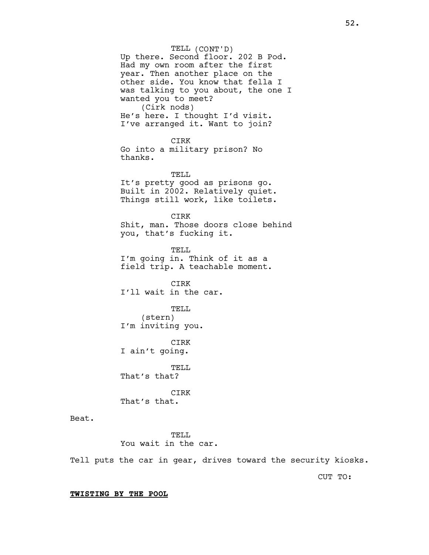TELL (CONT'D) Up there. Second floor. 202 B Pod. Had my own room after the first year. Then another place on the other side. You know that fella I was talking to you about, the one I wanted you to meet? (Cirk nods) He's here. I thought I'd visit. I've arranged it. Want to join? CIRK Go into a military prison? No thanks. TELL It's pretty good as prisons go. Built in 2002. Relatively quiet. Things still work, like toilets. CIRK Shit, man. Those doors close behind you, that's fucking it. TELL I'm going in. Think of it as a field trip. A teachable moment. **CTRK** I'll wait in the car. TELL (stern) I'm inviting you. CIRK I ain't going. TELL That's that? CIRK That's that. TELL You wait in the car.

Tell puts the car in gear, drives toward the security kiosks.

CUT TO:

### TWISTING BY THE POOL

Beat.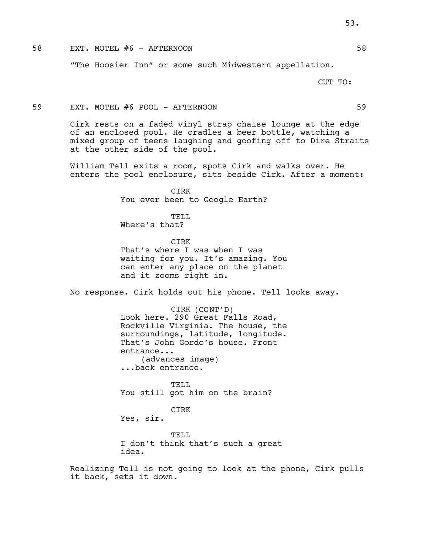## 58 EXT. MOTEL #6 - AFTERNOON 58

"The Hoosier Inn" or some such Midwestern appellation.

CUT TO:

#### 59 EXT. MOTEL #6 POOL - AFTERNOON 59

Cirk rests on a faded vinyl strap chaise lounge at the edge of an enclosed pool. He cradles a beer bottle, watching a mixed group of teens laughing and goofing off to Dire Straits at the other side of the pool.

William Tell exits a room, spots Cirk and walks over. He enters the pool enclosure, sits beside Cirk. After a moment:

> CIRK You ever been to Google Earth?

TELL Where's that?

CIRK That's where I was when I was waiting for you. It's amazing. You can enter any place on the planet and it zooms right in.

No response. Cirk holds out his phone. Tell looks away.

CIRK (CONT'D) Look here. 290 Great Falls Road, Rockville Virginia. The house, the surroundings, latitude, longitude. That's John Gordo's house. Front entrance... (advances image) ...back entrance.

TELL You still got him on the brain?

#### CIRK

Yes, sir.

TELL I don't think that's such a great idea.

Realizing Tell is not going to look at the phone, Cirk pulls it back, sets it down.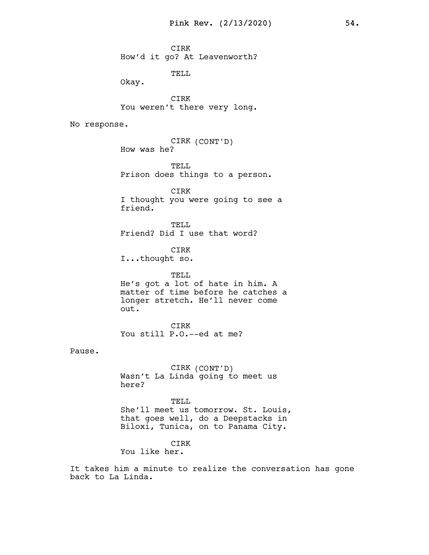CIRK How'd it go? At Leavenworth?

TELL

Okay.

CIRK You weren't there very long.

No response.

CIRK (CONT'D) How was he?

TELL Prison does things to a person.

CIRK I thought you were going to see a friend.

TELL Friend? Did I use that word?

CIRK

I...thought so.

TELL He's got a lot of hate in him. A matter of time before he catches a longer stretch. He'll never come out.

**CIRK** You still P.O.--ed at me?

Pause.

CIRK (CONT'D) Wasn't La Linda going to meet us here?

TELL She'll meet us tomorrow. St. Louis, that goes well, do a Deepstacks in Biloxi, Tunica, on to Panama City.

# CIRK

You like her.

It takes him a minute to realize the conversation has gone back to La Linda.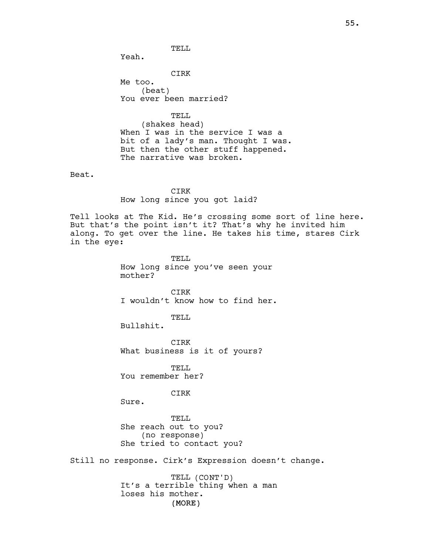TELL.

Yeah.

CIRK Me too. (beat) You ever been married?

TELL (shakes head) When I was in the service I was a bit of a lady's man. Thought I was. But then the other stuff happened. The narrative was broken.

Beat.

CIRK

How long since you got laid?

Tell looks at The Kid. He's crossing some sort of line here. But that's the point isn't it? That's why he invited him along. To get over the line. He takes his time, stares Cirk in the eye:

> TELL How long since you've seen your mother?

CIRK I wouldn't know how to find her.

# TELL

Bullshit.

CIRK What business is it of yours?

TELL You remember her?

CIRK

Sure.

TELL She reach out to you? (no response) She tried to contact you?

Still no response. Cirk's Expression doesn't change.

(MORE) TELL (CONT'D) It's a terrible thing when a man loses his mother.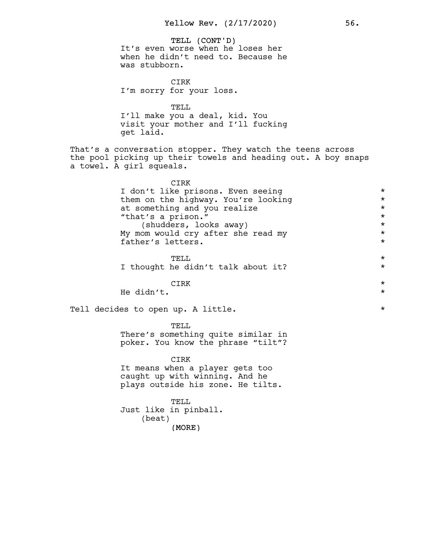TELL (CONT'D) (MORE) It's even worse when he loses her when he didn't need to. Because he was stubborn. CIRK I'm sorry for your loss. TELL I'll make you a deal, kid. You visit your mother and I'll fucking get laid. That's a conversation stopper. They watch the teens across the pool picking up their towels and heading out. A boy snaps a towel. A girl squeals. CIRK I don't like prisons. Even seeing<br>them on the highway. You're looking \* \* \* \* them on the highway. You're looking<br>at something and you realize at something and you realize  $*$ <br>"that's a prison." "that's a prison." \* (shudders, looks away) \* My mom would cry after she read my  $*$ <br>father's letters father's letters. TELL  $\qquad \qquad \star$ I thought he didn't talk about it? \*  $CIRK$   $\star$ He didn't. \* Tell decides to open up. A little.  $*$ TELL. There's something quite similar in poker. You know the phrase "tilt"? CIRK It means when a player gets too caught up with winning. And he plays outside his zone. He tilts. TELL Just like in pinball. (beat)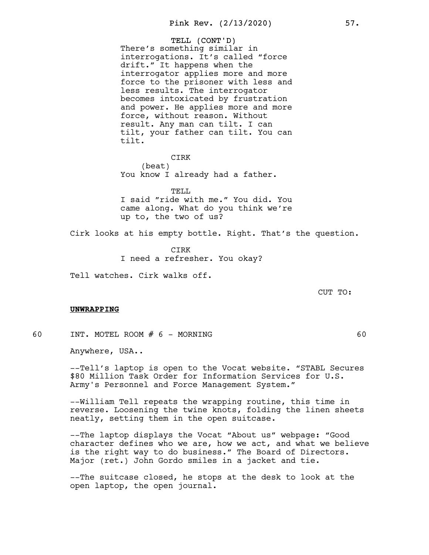TELL (CONT'D) There's something similar in interrogations. It's called "force drift." It happens when the interrogator applies more and more force to the prisoner with less and less results. The interrogator becomes intoxicated by frustration and power. He applies more and more force, without reason. Without result. Any man can tilt. I can tilt, your father can tilt. You can tilt.

CIRK (beat) You know I already had a father.

TELL. I said "ride with me." You did. You came along. What do you think we're up to, the two of us?

Cirk looks at his empty bottle. Right. That's the question.

CIRK I need a refresher. You okay?

Tell watches. Cirk walks off.

CUT TO:

### UNWRAPPING

60 INT. MOTEL ROOM # 6 - MORNING 60

Anywhere, USA..

--Tell's laptop is open to the Vocat website. "STABL Secures \$80 Million Task Order for Information Services for U.S. Army's Personnel and Force Management System."

--William Tell repeats the wrapping routine, this time in reverse. Loosening the twine knots, folding the linen sheets neatly, setting them in the open suitcase.

--The laptop displays the Vocat "About us" webpage: "Good character defines who we are, how we act, and what we believe is the right way to do business." The Board of Directors. Major (ret.) John Gordo smiles in a jacket and tie.

--The suitcase closed, he stops at the desk to look at the open laptop, the open journal.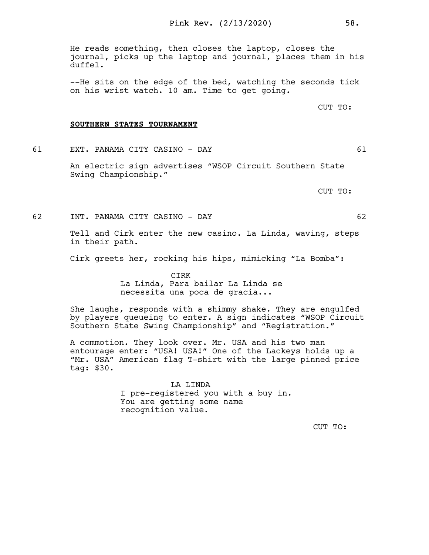He reads something, then closes the laptop, closes the journal, picks up the laptop and journal, places them in his duffel.

--He sits on the edge of the bed, watching the seconds tick on his wrist watch. 10 am. Time to get going.

CUT TO:

#### SOUTHERN STATES TOURNAMENT

61 EXT. PANAMA CITY CASINO - DAY 61

An electric sign advertises "WSOP Circuit Southern State Swing Championship."

CUT TO:

62 INT. PANAMA CITY CASINO - DAY 62

Tell and Cirk enter the new casino. La Linda, waving, steps in their path.

Cirk greets her, rocking his hips, mimicking "La Bomba":

CIRK La Linda, Para bailar La Linda se necessita una poca de gracia...

She laughs, responds with a shimmy shake. They are engulfed by players queueing to enter. A sign indicates "WSOP Circuit Southern State Swing Championship" and "Registration."

A commotion. They look over. Mr. USA and his two man entourage enter: "USA! USA!" One of the Lackeys holds up a "Mr. USA" American flag T-shirt with the large pinned price tag: \$30.

> LA LINDA I pre-registered you with a buy in. You are getting some name recognition value.

> > CUT TO: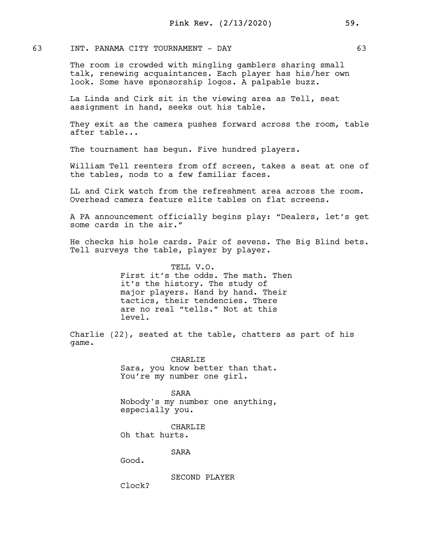## 63 INT. PANAMA CITY TOURNAMENT - DAY 63

The room is crowded with mingling gamblers sharing small talk, renewing acquaintances. Each player has his/her own look. Some have sponsorship logos. A palpable buzz.

La Linda and Cirk sit in the viewing area as Tell, seat assignment in hand, seeks out his table.

They exit as the camera pushes forward across the room, table after table...

The tournament has begun. Five hundred players.

William Tell reenters from off screen, takes a seat at one of the tables, nods to a few familiar faces.

LL and Cirk watch from the refreshment area across the room. Overhead camera feature elite tables on flat screens.

A PA announcement officially begins play: "Dealers, let's get some cards in the air."

He checks his hole cards. Pair of sevens. The Big Blind bets. Tell surveys the table, player by player.

> TELL V.O. First it's the odds. The math. Then it's the history. The study of major players. Hand by hand. Their tactics, their tendencies. There are no real "tells." Not at this level.

Charlie (22), seated at the table, chatters as part of his game.

> CHARLIE Sara, you know better than that. You're my number one girl.

> SARA Nobody's my number one anything, especially you.

CHARLIE Oh that hurts.

SARA

Good.

SECOND PLAYER

Clock?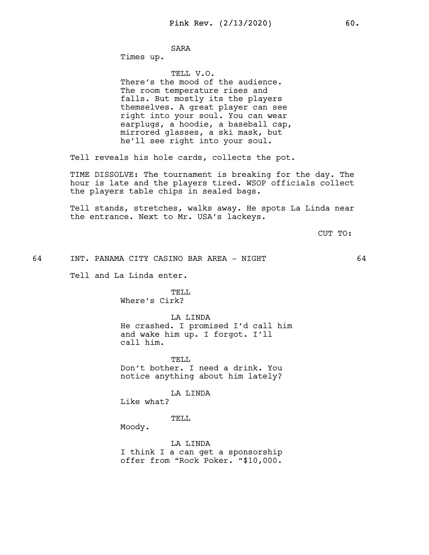# SARA

Times up.

TELL V.O. There's the mood of the audience. The room temperature rises and falls. But mostly its the players themselves. A great player can see right into your soul. You can wear earplugs, a hoodie, a baseball cap, mirrored glasses, a ski mask, but he'll see right into your soul.

Tell reveals his hole cards, collects the pot.

TIME DISSOLVE: The tournament is breaking for the day. The hour is late and the players tired. WSOP officials collect the players table chips in sealed bags.

Tell stands, stretches, walks away. He spots La Linda near the entrance. Next to Mr. USA's lackeys.

CUT TO:

64 INT. PANAMA CITY CASINO BAR AREA - NIGHT 64

Tell and La Linda enter.

# TELL Where's Cirk?

LA LINDA He crashed. I promised I'd call him and wake him up. I forgot. I'll call him.

TELL Don't bother. I need a drink. You notice anything about him lately?

LA LINDA

Like what?

TELL.

Moody.

LA LINDA I think I a can get a sponsorship offer from "Rock Poker. "\$10,000.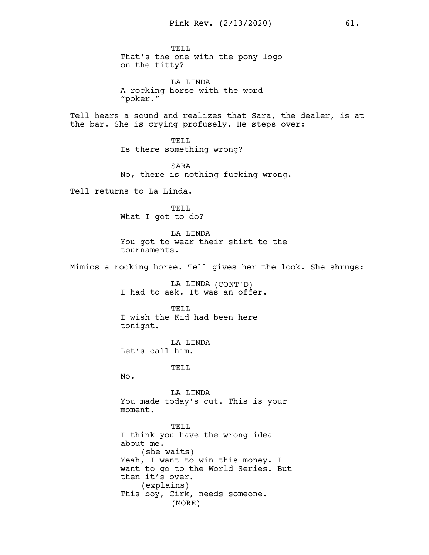TELL. That's the one with the pony logo on the titty?

LA LINDA A rocking horse with the word "poker."

Tell hears a sound and realizes that Sara, the dealer, is at the bar. She is crying profusely. He steps over:

> TELL. Is there something wrong?

SARA No, there is nothing fucking wrong.

Tell returns to La Linda.

TELL What I got to do?

LA LINDA You got to wear their shirt to the tournaments.

Mimics a rocking horse. Tell gives her the look. She shrugs:

LA LINDA (CONT'D) I had to ask. It was an offer.

TELL I wish the Kid had been here tonight.

LA LINDA Let's call him.

TELL

 $No.$ 

LA LINDA You made today's cut. This is your moment.

(MORE) TELL I think you have the wrong idea about me. (she waits) Yeah, I want to win this money. I want to go to the World Series. But then it's over. (explains) This boy, Cirk, needs someone.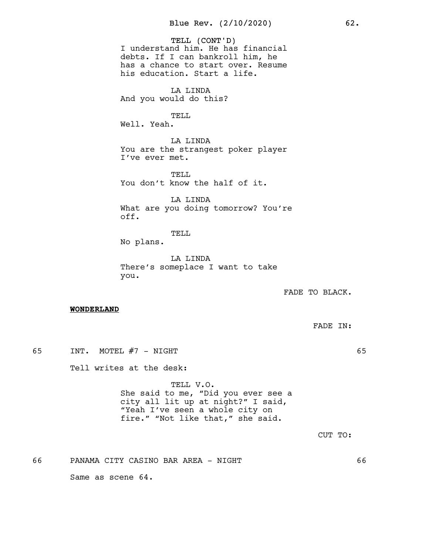TELL (CONT'D) I understand him. He has financial debts. If I can bankroll him, he has a chance to start over. Resume his education. Start a life.

LA LINDA And you would do this?

TELL Well. Yeah.

LA LINDA You are the strangest poker player I've ever met.

TELL. You don't know the half of it.

LA LINDA What are you doing tomorrow? You're off.

TELL

No plans.

LA LINDA There's someplace I want to take you.

FADE TO BLACK.

#### WONDERLAND

65 INT. MOTEL #7 - NIGHT 65

Tell writes at the desk:

TELL V.O. She said to me, "Did you ever see a city all lit up at night?" I said, "Yeah I've seen a whole city on fire." "Not like that," she said.

CUT TO:

66 PANAMA CITY CASINO BAR AREA - NIGHT 66

Same as scene 64.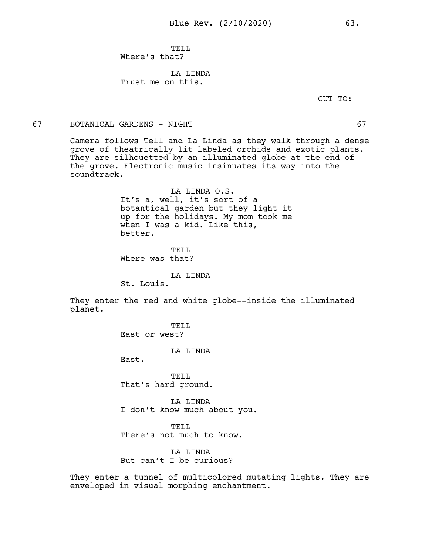TELL. Where's that?

LA LINDA Trust me on this.

CUT TO:

#### 67 BOTANICAL GARDENS - NIGHT 67

Camera follows Tell and La Linda as they walk through a dense grove of theatrically lit labeled orchids and exotic plants. They are silhouetted by an illuminated globe at the end of the grove. Electronic music insinuates its way into the soundtrack.

> LA LINDA O.S. It's a, well, it's sort of a botantical garden but they light it up for the holidays. My mom took me when I was a kid. Like this, better.

TELL. Where was that?

LA LINDA

St. Louis.

They enter the red and white globe--inside the illuminated planet.

> TELL. East or west?

> > LA LINDA

East.

TELL That's hard ground.

LA LINDA I don't know much about you.

TELL There's not much to know.

LA LINDA But can't I be curious?

They enter a tunnel of multicolored mutating lights. They are enveloped in visual morphing enchantment.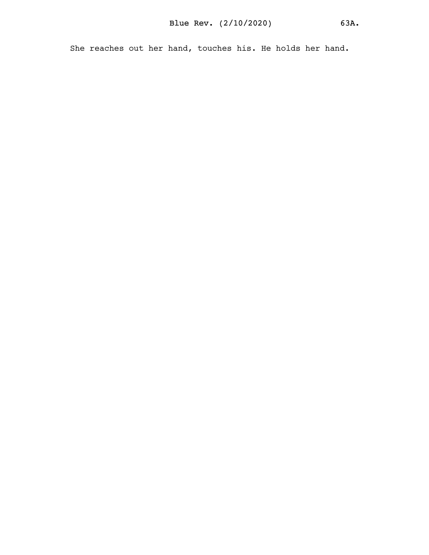She reaches out her hand, touches his. He holds her hand.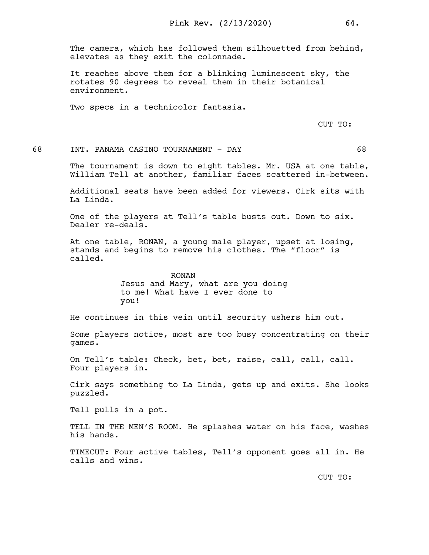The camera, which has followed them silhouetted from behind, elevates as they exit the colonnade.

It reaches above them for a blinking luminescent sky, the rotates 90 degrees to reveal them in their botanical environment.

Two specs in a technicolor fantasia.

CUT TO:

68 INT. PANAMA CASINO TOURNAMENT - DAY 68

The tournament is down to eight tables. Mr. USA at one table, William Tell at another, familiar faces scattered in-between.

Additional seats have been added for viewers. Cirk sits with La Linda.

One of the players at Tell's table busts out. Down to six. Dealer re-deals.

At one table, RONAN, a young male player, upset at losing, stands and begins to remove his clothes. The "floor" is called.

RONAN

Jesus and Mary, what are you doing to me! What have I ever done to you!

He continues in this vein until security ushers him out.

Some players notice, most are too busy concentrating on their games.

On Tell's table: Check, bet, bet, raise, call, call, call. Four players in.

Cirk says something to La Linda, gets up and exits. She looks puzzled.

Tell pulls in a pot.

TELL IN THE MEN'S ROOM. He splashes water on his face, washes his hands.

TIMECUT: Four active tables, Tell's opponent goes all in. He calls and wins.

CUT TO: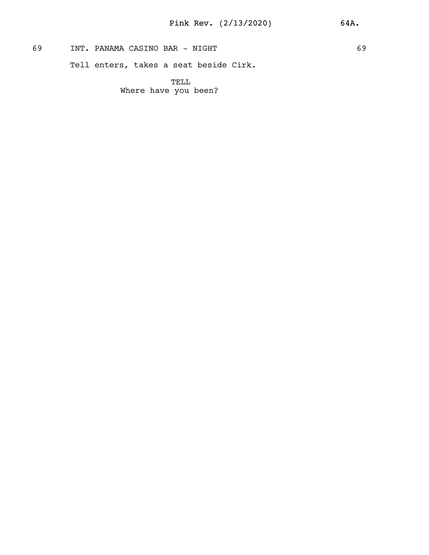69 INT. PANAMA CASINO BAR - NIGHT 69

Tell enters, takes a seat beside Cirk.

TELL Where have you been?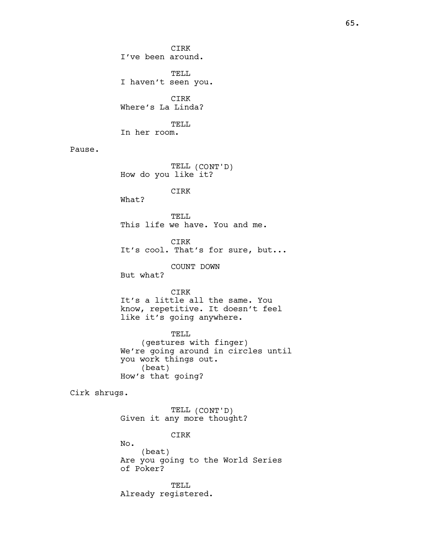CIRK I've been around. TELL I haven't seen you. CIRK Where's La Linda? TELL In her room.

Pause.

TELL (CONT'D) How do you like it?

CIRK

What?

TELL This life we have. You and me.

CIRK It's cool. That's for sure, but...

COUNT DOWN

But what?

CIRK It's a little all the same. You know, repetitive. It doesn't feel like it's going anywhere.

TELL (gestures with finger) We're going around in circles until you work things out. (beat) How's that going?

Cirk shrugs.

TELL (CONT'D) Given it any more thought?

CIRK

No. (beat) Are you going to the World Series of Poker?

TELL Already registered.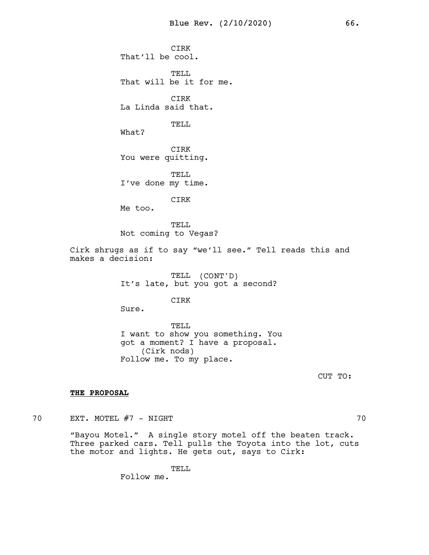CIRK That'll be cool.

TELL That will be it for me.

CIRK La Linda said that.

TELL

What?

CIRK You were quitting.

TELL I've done my time.

CIRK

Me too.

TELL Not coming to Vegas?

Cirk shrugs as if to say "we'll see." Tell reads this and makes a decision:

> TELL (CONT'D) It's late, but you got a second?

> > CIRK

Sure.

TELL I want to show you something. You got a moment? I have a proposal. (Cirk nods) Follow me. To my place.

CUT TO:

### THE PROPOSAL

70 EXT. MOTEL #7 - NIGHT

"Bayou Motel." A single story motel off the beaten track. Three parked cars. Tell pulls the Toyota into the lot, cuts the motor and lights. He gets out, says to Cirk:

> TELL Follow me.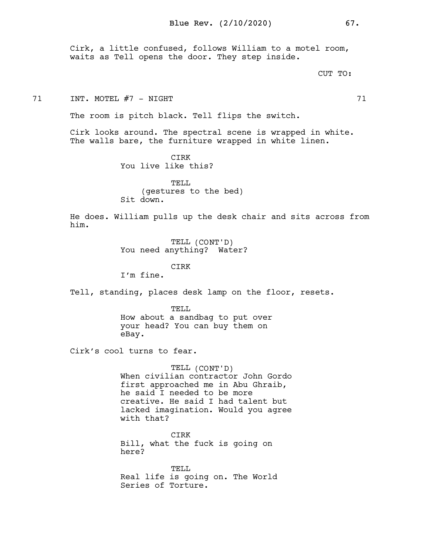Cirk, a little confused, follows William to a motel room, waits as Tell opens the door. They step inside.

CUT TO:

71 INT. MOTEL #7 - NIGHT 71

The room is pitch black. Tell flips the switch.

Cirk looks around. The spectral scene is wrapped in white. The walls bare, the furniture wrapped in white linen.

> CIRK You live like this?

TELL. (gestures to the bed) Sit down.

He does. William pulls up the desk chair and sits across from him.

> TELL (CONT'D) You need anything? Water?

CIRK I'm fine.

Tell, standing, places desk lamp on the floor, resets.

TELL How about a sandbag to put over your head? You can buy them on eBay.

Cirk's cool turns to fear.

TELL (CONT'D) When civilian contractor John Gordo first approached me in Abu Ghraib, he said I needed to be more creative. He said I had talent but lacked imagination. Would you agree with that?

CIRK Bill, what the fuck is going on here?

TELL Real life is going on. The World Series of Torture.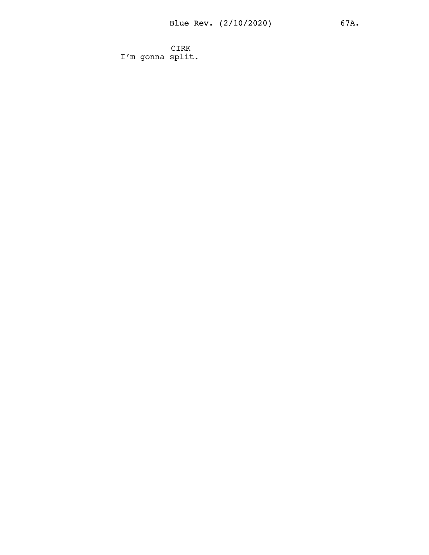CIRK I'm gonna split.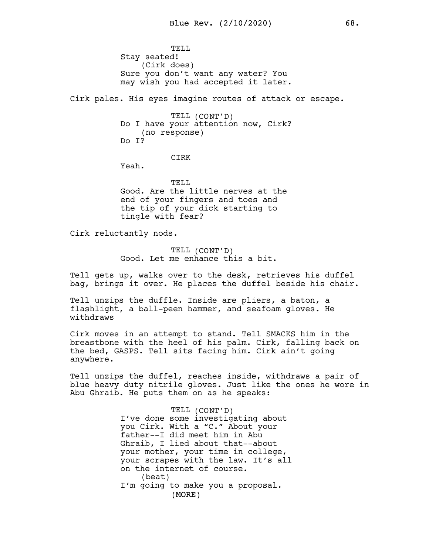TELL. Stay seated! (Cirk does) Sure you don't want any water? You may wish you had accepted it later.

Cirk pales. His eyes imagine routes of attack or escape.

TELL (CONT'D) Do I have your attention now, Cirk? (no response) Do I?

#### CIRK

Yeah.

TELL Good. Are the little nerves at the end of your fingers and toes and the tip of your dick starting to tingle with fear?

Cirk reluctantly nods.

TELL (CONT'D) Good. Let me enhance this a bit.

Tell gets up, walks over to the desk, retrieves his duffel bag, brings it over. He places the duffel beside his chair.

Tell unzips the duffle. Inside are pliers, a baton, a flashlight, a ball-peen hammer, and seafoam gloves. He withdraws

Cirk moves in an attempt to stand. Tell SMACKS him in the breastbone with the heel of his palm. Cirk, falling back on the bed, GASPS. Tell sits facing him. Cirk ain't going anywhere.

Tell unzips the duffel, reaches inside, withdraws a pair of blue heavy duty nitrile gloves. Just like the ones he wore in Abu Ghraib. He puts them on as he speaks:

> (MORE) TELL (CONT'D) I've done some investigating about you Cirk. With a "C." About your father--I did meet him in Abu Ghraib, I lied about that--about your mother, your time in college, your scrapes with the law. It's all on the internet of course. (beat) I'm going to make you a proposal.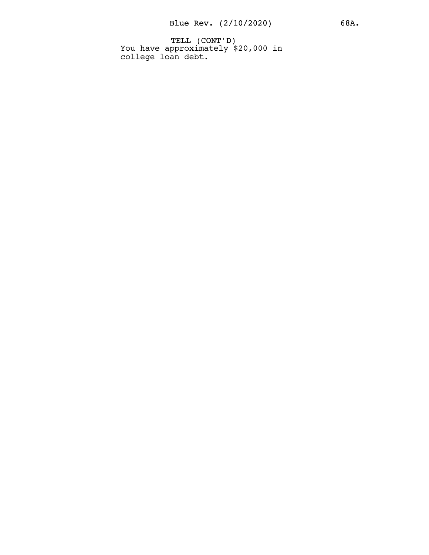TELL (CONT'D) You have approximately \$20,000 in college loan debt.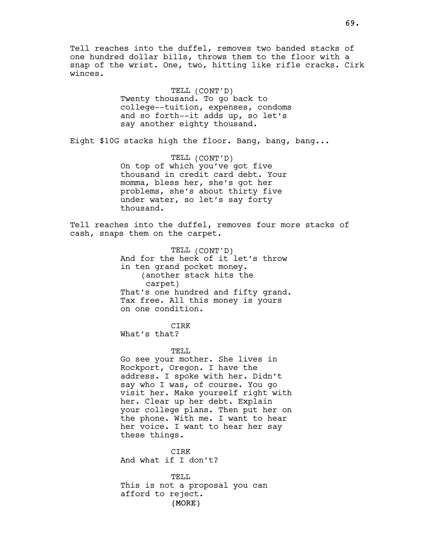Tell reaches into the duffel, removes two banded stacks of one hundred dollar bills, throws them to the floor with a snap of the wrist. One, two, hitting like rifle cracks. Cirk winces.

> TELL (CONT'D) Twenty thousand. To go back to college--tuition, expenses, condoms and so forth--it adds up, so let's say another eighty thousand.

Eight \$10G stacks high the floor. Bang, bang, bang...

TELL (CONT'D) On top of which you've got five thousand in credit card debt. Your momma, bless her, she's got her problems, she's about thirty five under water, so let's say forty thousand.

Tell reaches into the duffel, removes four more stacks of cash, snaps them on the carpet.

> TELL (CONT'D) And for the heck of it let's throw in ten grand pocket money. (another stack hits the carpet) That's one hundred and fifty grand. Tax free. All this money is yours on one condition.

CIRK What's that?

TELL

Go see your mother. She lives in Rockport, Oregon. I have the address. I spoke with her. Didn't say who I was, of course. You go visit her. Make yourself right with her. Clear up her debt. Explain your college plans. Then put her on the phone. With me. I want to hear her voice. I want to hear her say these things.

CIRK And what if I don't?

(MORE) TELL This is not a proposal you can afford to reject.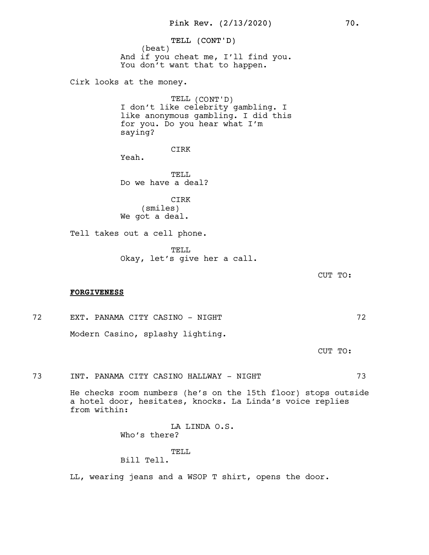TELL (CONT'D) (beat) And if you cheat me, I'll find you. You don't want that to happen.

Cirk looks at the money.

TELL (CONT'D) I don't like celebrity gambling. I like anonymous gambling. I did this for you. Do you hear what I'm saying?

CIRK

Yeah.

TELL Do we have a deal?

CIRK (smiles) We got a deal.

Tell takes out a cell phone.

TELL Okay, let's give her a call.

CUT TO:

#### FORGIVENESS

72 EXT. PANAMA CITY CASINO - NIGHT 72 Modern Casino, splashy lighting.

CUT TO:

73 INT. PANAMA CITY CASINO HALLWAY - NIGHT 73

He checks room numbers (he's on the 15th floor) stops outside a hotel door, hesitates, knocks. La Linda's voice replies from within:

> LA LINDA O.S. Who's there?

# TELL

Bill Tell.

LL, wearing jeans and a WSOP T shirt, opens the door.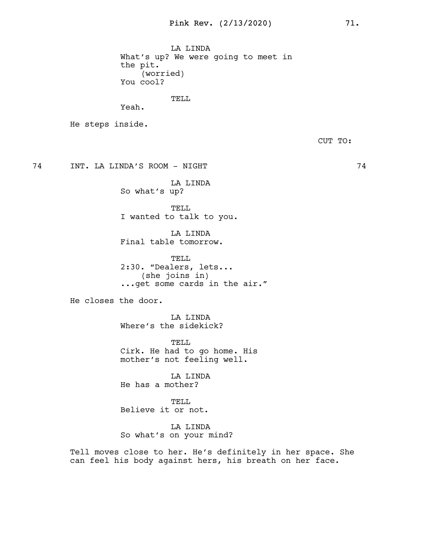LA LINDA What's up? We were going to meet in the pit. (worried) You cool?

TELL

Yeah.

He steps inside.

CUT TO:

74 INT. LA LINDA'S ROOM - NIGHT 74

LA LINDA So what's up?

TELL I wanted to talk to you.

LA LINDA Final table tomorrow.

TELL 2:30. "Dealers, lets... (she joins in) ...get some cards in the air."

He closes the door.

LA LINDA Where's the sidekick?

TELL Cirk. He had to go home. His mother's not feeling well.

LA LINDA He has a mother?

TELL Believe it or not.

LA LINDA So what's on your mind?

Tell moves close to her. He's definitely in her space. She can feel his body against hers, his breath on her face.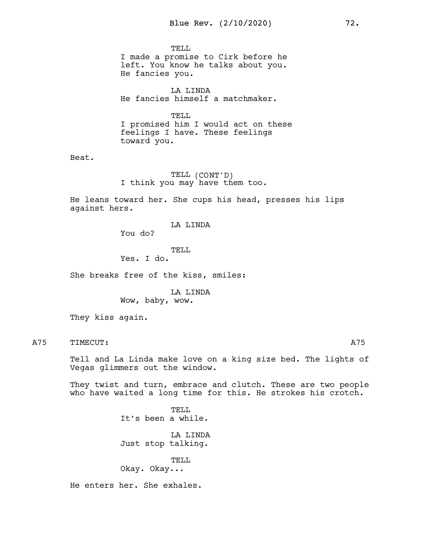TELL.

I made a promise to Cirk before he left. You know he talks about you. He fancies you.

LA LINDA He fancies himself a matchmaker.

TELL

I promised him I would act on these feelings I have. These feelings toward you.

Beat.

TELL (CONT'D) I think you may have them too.

He leans toward her. She cups his head, presses his lips against hers.

LA LINDA

You do?

TELL

Yes. I do.

She breaks free of the kiss, smiles:

LA LINDA Wow, baby, wow.

They kiss again.

A75 TIMECUT: A75

Tell and La Linda make love on a king size bed. The lights of Vegas glimmers out the window.

They twist and turn, embrace and clutch. These are two people who have waited a long time for this. He strokes his crotch.

> TELL. It's been a while.

LA LINDA Just stop talking.

TELL Okay. Okay...

He enters her. She exhales.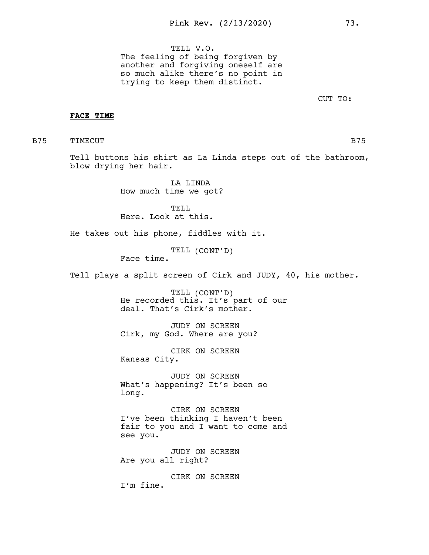TELL V.O. The feeling of being forgiven by another and forgiving oneself are so much alike there's no point in trying to keep them distinct.

CUT TO:

### FACE TIME

B75 TIMECUT B75

Tell buttons his shirt as La Linda steps out of the bathroom, blow drying her hair.

> LA LINDA How much time we got?

TELL Here. Look at this.

He takes out his phone, fiddles with it.

TELL (CONT'D)

Face time.

Tell plays a split screen of Cirk and JUDY, 40, his mother.

TELL (CONT'D) He recorded this. It's part of our deal. That's Cirk's mother.

JUDY ON SCREEN Cirk, my God. Where are you?

CIRK ON SCREEN Kansas City.

JUDY ON SCREEN What's happening? It's been so long.

CIRK ON SCREEN I've been thinking I haven't been fair to you and I want to come and see you.

JUDY ON SCREEN Are you all right?

CIRK ON SCREEN I'm fine.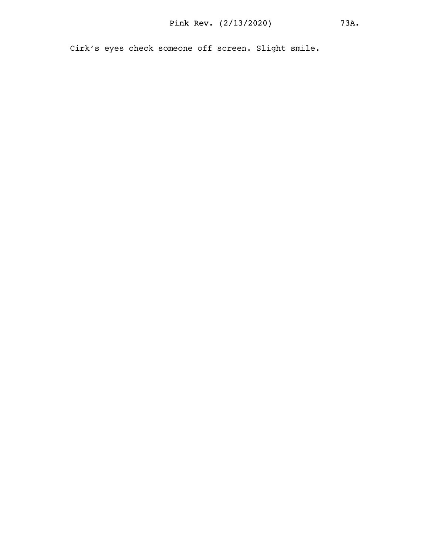Cirk's eyes check someone off screen. Slight smile.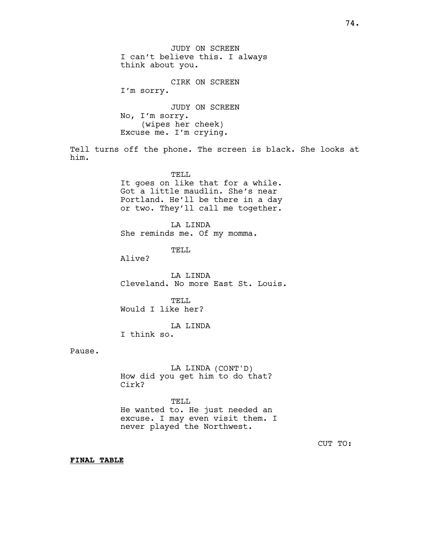JUDY ON SCREEN I can't believe this. I always think about you. CIRK ON SCREEN I'm sorry. JUDY ON SCREEN No, I'm sorry. (wipes her cheek) Excuse me. I'm crying. Tell turns off the phone. The screen is black. She looks at him. TELL It goes on like that for a while. Got a little maudlin. She's near Portland. He'll be there in a day or two. They'll call me together. LA LINDA She reminds me. Of my momma. TELL Alive? LA LINDA Cleveland. No more East St. Louis. TELL Would I like her? LA LINDA I think so. Pause. LA LINDA (CONT'D)

How did you get him to do that? Cirk?

TELL He wanted to. He just needed an excuse. I may even visit them. I never played the Northwest.

CUT TO:

FINAL TABLE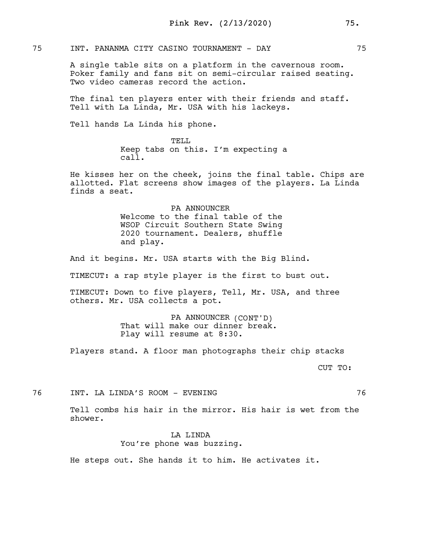75 INT. PANANMA CITY CASINO TOURNAMENT - DAY 75

A single table sits on a platform in the cavernous room. Poker family and fans sit on semi-circular raised seating. Two video cameras record the action.

The final ten players enter with their friends and staff. Tell with La Linda, Mr. USA with his lackeys.

Tell hands La Linda his phone.

TELL. Keep tabs on this. I'm expecting a call.

He kisses her on the cheek, joins the final table. Chips are allotted. Flat screens show images of the players. La Linda finds a seat.

> PA ANNOUNCER Welcome to the final table of the WSOP Circuit Southern State Swing 2020 tournament. Dealers, shuffle and play.

And it begins. Mr. USA starts with the Big Blind.

TIMECUT: a rap style player is the first to bust out.

TIMECUT: Down to five players, Tell, Mr. USA, and three others. Mr. USA collects a pot.

> PA ANNOUNCER (CONT'D) That will make our dinner break. Play will resume at 8:30.

Players stand. A floor man photographs their chip stacks

CUT TO:

76 INT. LA LINDA'S ROOM - EVENING 76

Tell combs his hair in the mirror. His hair is wet from the shower.

> LA LINDA You're phone was buzzing.

He steps out. She hands it to him. He activates it.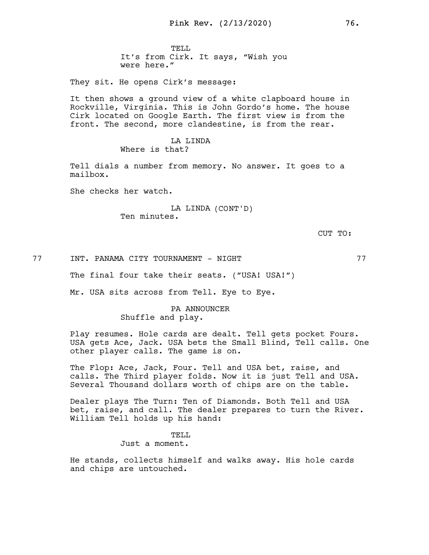TELL. It's from Cirk. It says, "Wish you were here."

They sit. He opens Cirk's message:

It then shows a ground view of a white clapboard house in Rockville, Virginia. This is John Gordo's home. The house Cirk located on Google Earth. The first view is from the front. The second, more clandestine, is from the rear.

#### LA LINDA Where is that?

Tell dials a number from memory. No answer. It goes to a mailbox.

She checks her watch.

# LA LINDA (CONT'D) Ten minutes.

CUT TO:

77 INT. PANAMA CITY TOURNAMENT - NIGHT 77

The final four take their seats. ("USA! USA!")

Mr. USA sits across from Tell. Eye to Eye.

# PA ANNOUNCER Shuffle and play.

Play resumes. Hole cards are dealt. Tell gets pocket Fours. USA gets Ace, Jack. USA bets the Small Blind, Tell calls. One other player calls. The game is on.

The Flop: Ace, Jack, Four. Tell and USA bet, raise, and calls. The Third player folds. Now it is just Tell and USA. Several Thousand dollars worth of chips are on the table.

Dealer plays The Turn: Ten of Diamonds. Both Tell and USA bet, raise, and call. The dealer prepares to turn the River. William Tell holds up his hand:

> TELL Just a moment.

He stands, collects himself and walks away. His hole cards and chips are untouched.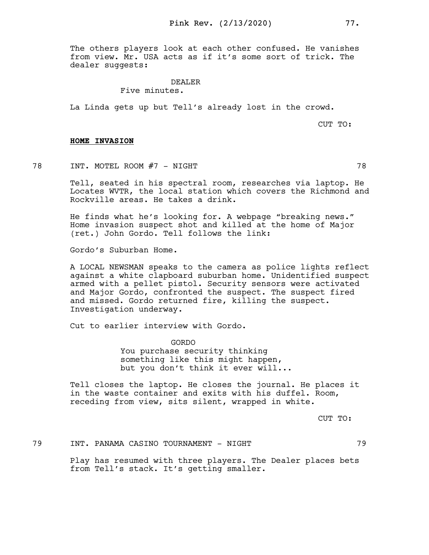The others players look at each other confused. He vanishes from view. Mr. USA acts as if it's some sort of trick. The dealer suggests:

#### DEALER

# Five minutes.

La Linda gets up but Tell's already lost in the crowd.

CUT TO:

#### HOME INVASION

78 INT. MOTEL ROOM #7 - NIGHT

Tell, seated in his spectral room, researches via laptop. He Locates WVTR, the local station which covers the Richmond and Rockville areas. He takes a drink.

He finds what he's looking for. A webpage "breaking news." Home invasion suspect shot and killed at the home of Major (ret.) John Gordo. Tell follows the link:

Gordo's Suburban Home.

A LOCAL NEWSMAN speaks to the camera as police lights reflect against a white clapboard suburban home. Unidentified suspect armed with a pellet pistol. Security sensors were activated and Major Gordo, confronted the suspect. The suspect fired and missed. Gordo returned fire, killing the suspect. Investigation underway.

Cut to earlier interview with Gordo.

GORDO You purchase security thinking something like this might happen, but you don't think it ever will...

Tell closes the laptop. He closes the journal. He places it in the waste container and exits with his duffel. Room, receding from view, sits silent, wrapped in white.

CUT TO:

79 INT. PANAMA CASINO TOURNAMENT - NIGHT 79

Play has resumed with three players. The Dealer places bets from Tell's stack. It's getting smaller.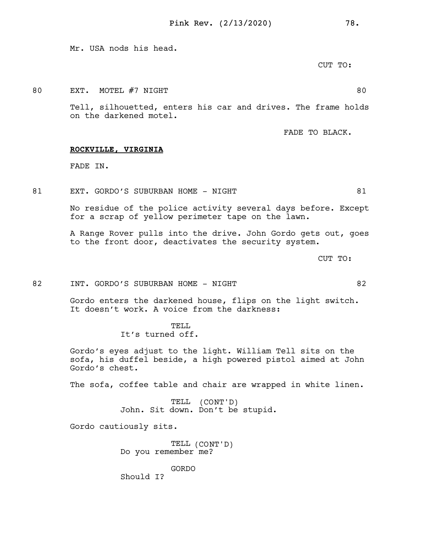Mr. USA nods his head.

CUT TO:

80 EXT. MOTEL #7 NIGHT 80

Tell, silhouetted, enters his car and drives. The frame holds on the darkened motel.

FADE TO BLACK.

#### ROCKVILLE, VIRGINIA

FADE IN.

81 EXT. GORDO'S SUBURBAN HOME - NIGHT 81

No residue of the police activity several days before. Except for a scrap of yellow perimeter tape on the lawn.

A Range Rover pulls into the drive. John Gordo gets out, goes to the front door, deactivates the security system.

CUT TO:

82 INT. GORDO'S SUBURBAN HOME - NIGHT 82

Gordo enters the darkened house, flips on the light switch. It doesn't work. A voice from the darkness:

> TELL. It's turned off.

Gordo's eyes adjust to the light. William Tell sits on the sofa, his duffel beside, a high powered pistol aimed at John Gordo's chest.

The sofa, coffee table and chair are wrapped in white linen.

TELL (CONT'D) John. Sit down. Don't be stupid.

Gordo cautiously sits.

TELL (CONT'D) Do you remember me?

GORDO

Should I?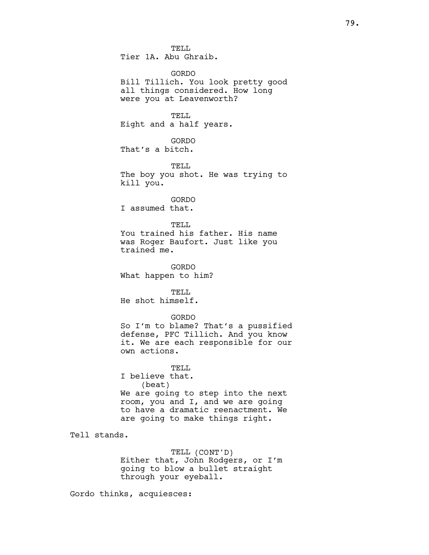TELL. Tier 1A. Abu Ghraib.

GORDO Bill Tillich. You look pretty good all things considered. How long were you at Leavenworth?

TELL Eight and a half years.

GORDO That's a bitch.

TELL The boy you shot. He was trying to kill you.

GORDO I assumed that.

TELL. You trained his father. His name was Roger Baufort. Just like you trained me.

GORDO What happen to him?

TELL He shot himself.

### GORDO

So I'm to blame? That's a pussified defense, PFC Tillich. And you know it. We are each responsible for our own actions.

TELL.

I believe that. (beat) We are going to step into the next room, you and I, and we are going to have a dramatic reenactment. We are going to make things right.

Tell stands.

TELL (CONT'D) Either that, John Rodgers, or I'm going to blow a bullet straight through your eyeball.

Gordo thinks, acquiesces: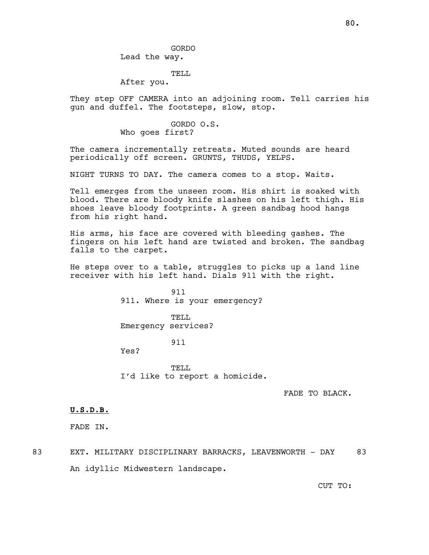### TELL

After you.

They step OFF CAMERA into an adjoining room. Tell carries his gun and duffel. The footsteps, slow, stop.

### GORDO O.S. Who goes first?

The camera incrementally retreats. Muted sounds are heard periodically off screen. GRUNTS, THUDS, YELPS.

NIGHT TURNS TO DAY. The camera comes to a stop. Waits.

Tell emerges from the unseen room. His shirt is soaked with blood. There are bloody knife slashes on his left thigh. His shoes leave bloody footprints. A green sandbag hood hangs from his right hand.

His arms, his face are covered with bleeding gashes. The fingers on his left hand are twisted and broken. The sandbag falls to the carpet.

He steps over to a table, struggles to picks up a land line receiver with his left hand. Dials 911 with the right.

> 911 911. Where is your emergency?

TELL Emergency services?

# 911

Yes?

TELL. I'd like to report a homicide.

FADE TO BLACK.

CUT TO:

#### U.S.D.B.

FADE IN.

83 EXT. MILITARY DISCIPLINARY BARRACKS, LEAVENWORTH - DAY 83 An idyllic Midwestern landscape.

80.